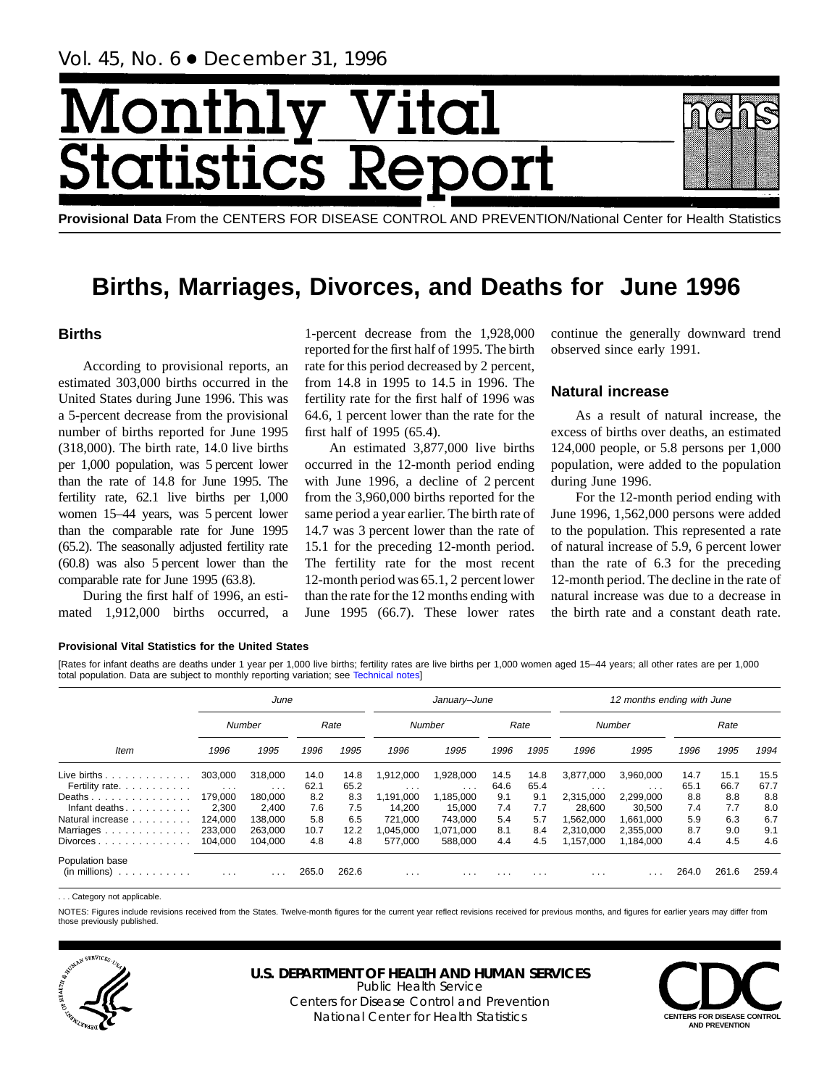# Month ital tatist ics F

**Provisional Data** From the CENTERS FOR DISEASE CONTROL AND PREVENTION/National Center for Health Statistics

## **Births, Marriages, Divorces, and Deaths for June 1996**

## **Births**

According to provisional reports, an estimated 303,000 births occurred in the United States during June 1996. This was a 5-percent decrease from the provisional number of births reported for June 1995 (318,000). The birth rate, 14.0 live births per 1,000 population, was 5 percent lower than the rate of 14.8 for June 1995. The fertility rate, 62.1 live births per 1,000 women 15–44 years, was 5 percent lower than the comparable rate for June 1995 (65.2). The seasonally adjusted fertility rate (60.8) was also 5 percent lower than the comparable rate for June 1995 (63.8).

During the first half of 1996, an estimated 1,912,000 births occurred, a

1-percent decrease from the 1,928,000 reported for the first half of 1995. The birth rate for this period decreased by 2 percent, from 14.8 in 1995 to 14.5 in 1996. The fertility rate for the first half of 1996 was 64.6, 1 percent lower than the rate for the first half of 1995 (65.4).

An estimated 3,877,000 live births occurred in the 12-month period ending with June 1996, a decline of 2 percent from the 3,960,000 births reported for the same period a year earlier. The birth rate of 14.7 was 3 percent lower than the rate of 15.1 for the preceding 12-month period. The fertility rate for the most recent 12-month period was 65.1, 2 percent lower than the rate for the 12 months ending with June 1995 (66.7). These lower rates

continue the generally downward trend observed since early 1991.

## **Natural increase**

As a result of natural increase, the excess of births over deaths, an estimated 124,000 people, or 5.8 persons per 1,000 population, were added to the population during June 1996.

For the 12-month period ending with June 1996, 1,562,000 persons were added to the population. This represented a rate of natural increase of 5.9, 6 percent lower than the rate of 6.3 for the preceding 12-month period. The decline in the rate of natural increase was due to a decrease in the birth rate and a constant death rate.

#### **Provisional Vital Statistics for the United States**

[Rates for infant deaths are deaths under 1 year per 1,000 live births; fertility rates are live births per 1,000 women aged 15–44 years; all other rates are per 1,000 total population. Data are subject to monthly reporting variation; see [Technical notes\]](#page-16-0)

|                                        |                         | June                    |       |       |                         | January-June            |      |          |           | 12 months ending with June |       |       |       |
|----------------------------------------|-------------------------|-------------------------|-------|-------|-------------------------|-------------------------|------|----------|-----------|----------------------------|-------|-------|-------|
|                                        |                         | Number                  |       | Rate  |                         | Number                  |      | Rate     |           | Number                     |       | Rate  |       |
| <b>Item</b>                            | 1996                    | 1995                    | 1996  | 1995  | 1996                    | 1995                    | 1996 | 1995     | 1996      | 1995                       | 1996  | 1995  | 1994  |
| Live births $\ldots$                   | 303,000                 | 318,000                 | 14.0  | 14.8  | 1,912,000               | 1,928,000               | 14.5 | 14.8     | 3,877,000 | 3,960,000                  | 14.7  | 15.1  | 15.5  |
| Fertility rate.                        | $\sim$ $\sim$ $\sim$    | $\cdots$                | 62.1  | 65.2  | $\cdot$ $\cdot$ $\cdot$ | $\cdot$ $\cdot$ $\cdot$ | 64.6 | 65.4     | $\cdots$  | $\cdots$                   | 65.1  | 66.7  | 67.7  |
| Deaths                                 | 179.000                 | 180.000                 | 8.2   | 8.3   | 1.191.000               | 1.185.000               | 9.1  | 9.1      | 2.315.000 | 2.299.000                  | 8.8   | 8.8   | 8.8   |
| Infant deaths                          | 2,300                   | 2.400                   | 7.6   | 7.5   | 14.200                  | 15.000                  | 7.4  | 7.7      | 28.600    | 30.500                     | 7.4   | 7.7   | 8.0   |
| Natural increase                       | 124.000                 | 138.000                 | 5.8   | 6.5   | 721.000                 | 743.000                 | 5.4  | 5.7      | 1.562.000 | 1.661.000                  | 5.9   | 6.3   | 6.7   |
| Marriages                              | 233.000                 | 263.000                 | 10.7  | 12.2  | .045.000                | 1.071.000               | 8.1  | 8.4      | 2.310.000 | 2.355.000                  | 8.7   | 9.0   | 9.1   |
| $Divorces \ldots \ldots \ldots \ldots$ | 104.000                 | 104.000                 | 4.8   | 4.8   | 577.000                 | 588.000                 | 4.4  | 4.5      | 1,157,000 | 1.184.000                  | 4.4   | 4.5   | 4.6   |
| Population base<br>(in millions)<br>.  | $\cdot$ $\cdot$ $\cdot$ | $\cdot$ $\cdot$ $\cdot$ | 265.0 | 262.6 | $\cdots$                | .                       | .    | $\cdots$ | $\cdots$  |                            | 264.0 | 261.6 | 259.4 |

. Category not applicable

NOTES: Figures include revisions received from the States. Twelve-month figures for the current year reflect revisions received for previous months, and figures for earlier years may differ from those previously published.



## **U.S. DEPARTMENT OF HEALTH AND HUMAN SERVICES**

Public Health Service Centers for Disease Control and Prevention National Center for Health Statistics **CENTERS FOR DISEASE CONTROL**

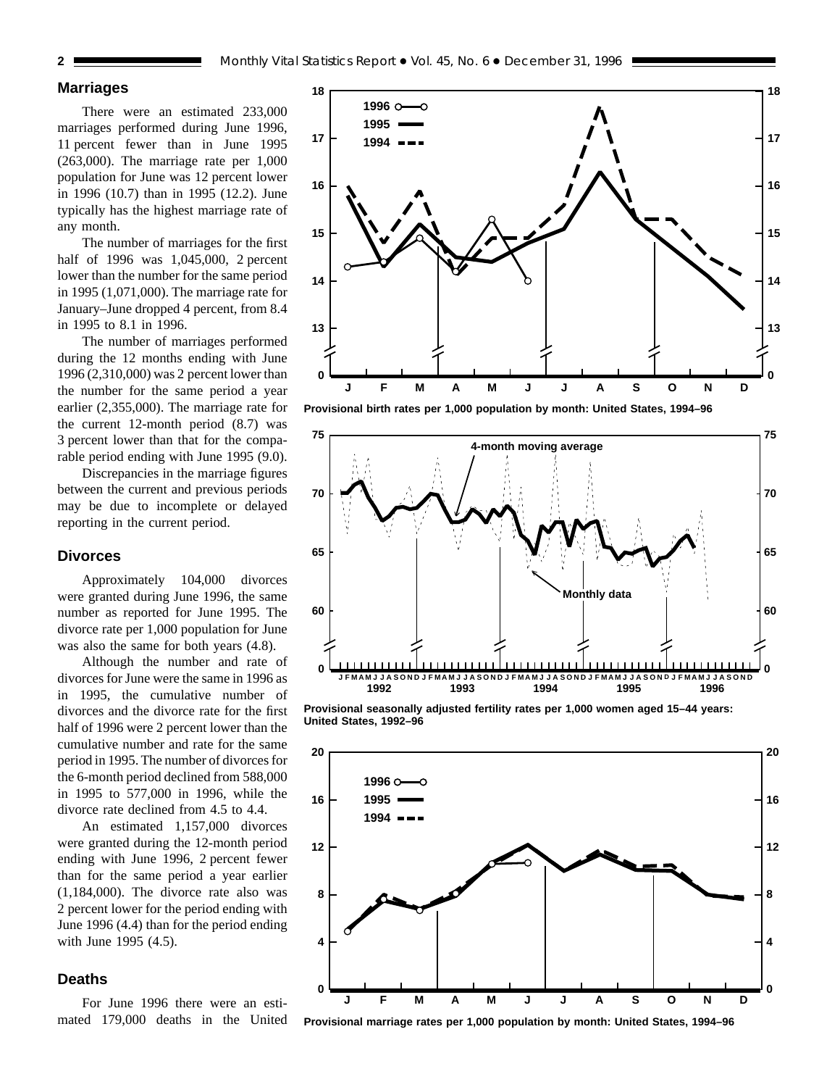## **Marriages**

There were an estimated 233,000 marriages performed during June 1996, 11 percent fewer than in June 1995 (263,000). The marriage rate per 1,000 population for June was 12 percent lower in 1996 (10.7) than in 1995 (12.2). June typically has the highest marriage rate of any month.

The number of marriages for the first half of 1996 was 1,045,000, 2 percent lower than the number for the same period in 1995 (1,071,000). The marriage rate for January–June dropped 4 percent, from 8.4 in 1995 to 8.1 in 1996.

The number of marriages performed during the 12 months ending with June 1996 (2,310,000) was 2 percent lower than the number for the same period a year earlier (2,355,000). The marriage rate for the current 12-month period (8.7) was 3 percent lower than that for the comparable period ending with June 1995 (9.0).

Discrepancies in the marriage figures between the current and previous periods may be due to incomplete or delayed reporting in the current period.

#### **Divorces**

Approximately 104,000 divorces were granted during June 1996, the same number as reported for June 1995. The divorce rate per 1,000 population for June was also the same for both years (4.8).

Although the number and rate of divorces for June were the same in 1996 as in 1995, the cumulative number of divorces and the divorce rate for the first half of 1996 were 2 percent lower than the cumulative number and rate for the same period in 1995. The number of divorces for the 6-month period declined from 588,000 in 1995 to 577,000 in 1996, while the divorce rate declined from 4.5 to 4.4.

An estimated 1,157,000 divorces were granted during the 12-month period ending with June 1996, 2 percent fewer than for the same period a year earlier (1,184,000). The divorce rate also was 2 percent lower for the period ending with June 1996 (4.4) than for the period ending with June 1995 (4.5).

#### **Deaths**

For June 1996 there were an estimated 179,000 deaths in the United







**Provisional seasonally adjusted fertility rates per 1,000 women aged 15–44 years: United States, 1992–96**



**Provisional marriage rates per 1,000 population by month: United States, 1994–96**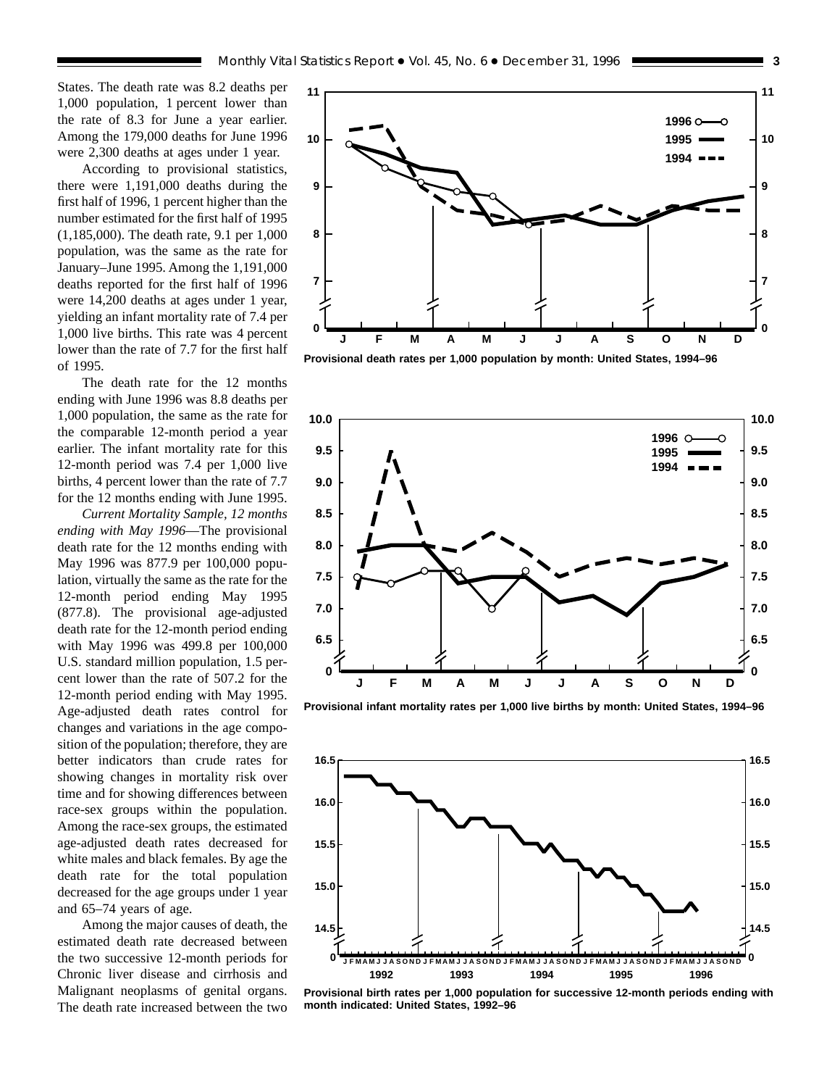States. The death rate was 8.2 deaths per 1,000 population, 1 percent lower than the rate of 8.3 for June a year earlier. Among the 179,000 deaths for June 1996 were 2,300 deaths at ages under 1 year.

According to provisional statistics, there were 1,191,000 deaths during the first half of 1996, 1 percent higher than the number estimated for the first half of 1995 (1,185,000). The death rate, 9.1 per 1,000 population, was the same as the rate for January–June 1995. Among the 1,191,000 deaths reported for the first half of 1996 were 14,200 deaths at ages under 1 year, yielding an infant mortality rate of 7.4 per 1,000 live births. This rate was 4 percent lower than the rate of 7.7 for the first half of 1995.

The death rate for the 12 months ending with June 1996 was 8.8 deaths per 1,000 population, the same as the rate for the comparable 12-month period a year earlier. The infant mortality rate for this 12-month period was 7.4 per 1,000 live births, 4 percent lower than the rate of 7.7 for the 12 months ending with June 1995.

*Current Mortality Sample, 12 months ending with May 1996*—The provisional death rate for the 12 months ending with May 1996 was 877.9 per 100,000 population, virtually the same as the rate for the 12-month period ending May 1995 (877.8). The provisional age-adjusted death rate for the 12-month period ending with May 1996 was 499.8 per 100,000 U.S. standard million population, 1.5 percent lower than the rate of 507.2 for the 12-month period ending with May 1995. Age-adjusted death rates control for changes and variations in the age composition of the population; therefore, they are better indicators than crude rates for showing changes in mortality risk over time and for showing differences between race-sex groups within the population. Among the race-sex groups, the estimated age-adjusted death rates decreased for white males and black females. By age the death rate for the total population decreased for the age groups under 1 year and 65–74 years of age.

Among the major causes of death, the estimated death rate decreased between the two successive 12-month periods for Chronic liver disease and cirrhosis and Malignant neoplasms of genital organs. The death rate increased between the two







**Provisional infant mortality rates per 1,000 live births by month: United States, 1994–96**



**Provisional birth rates per 1,000 population for successive 12-month periods ending with month indicated: United States, 1992–96**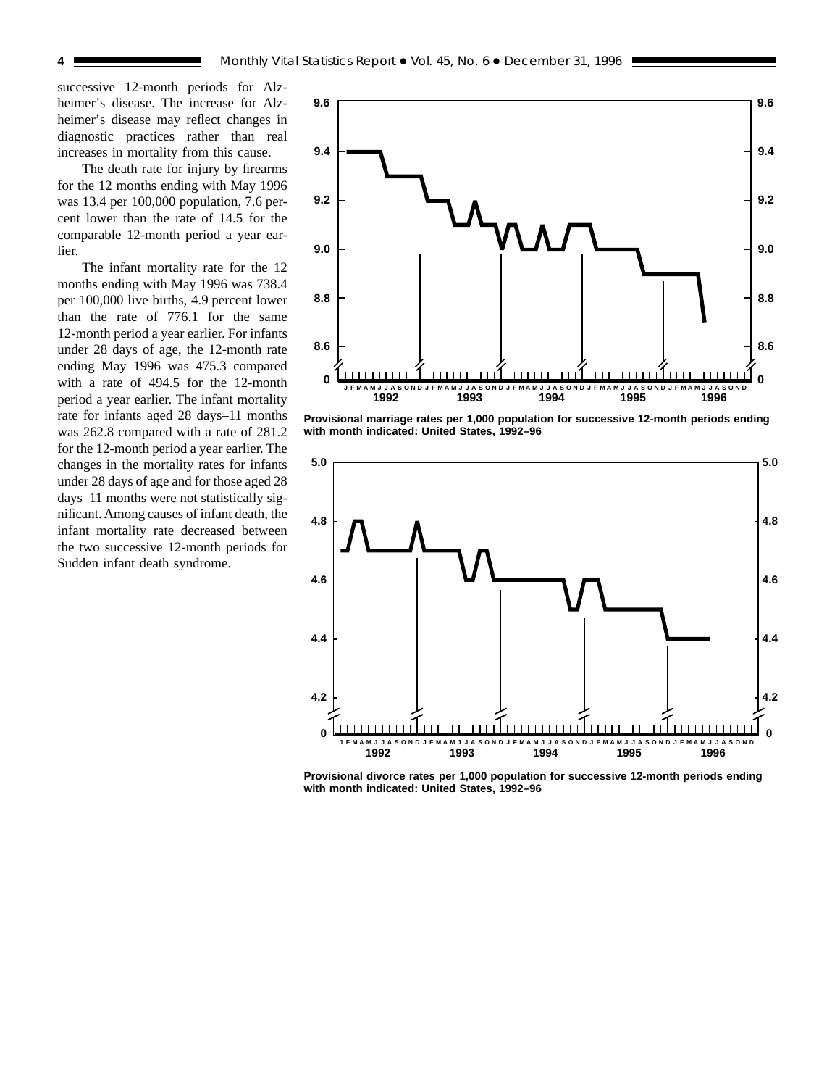successive 12-month periods for Alzheimer's disease. The increase for Alzheimer's disease may reflect changes in diagnostic practices rather than real increases in mortality from this cause.

The death rate for injury by firearms for the 12 months ending with May 1996 was 13.4 per 100,000 population, 7.6 percent lower than the rate of 14.5 for the comparable 12-month period a year earlier.

The infant mortality rate for the 12 months ending with May 1996 was 738.4 per 100,000 live births, 4.9 percent lower than the rate of 776.1 for the same 12-month period a year earlier. For infants under 28 days of age, the 12-month rate ending May 1996 was 475.3 compared with a rate of 494.5 for the 12-month period a year earlier. The infant mortality rate for infants aged 28 days–11 months was 262.8 compared with a rate of 281.2 for the 12-month period a year earlier. The changes in the mortality rates for infants under 28 days of age and for those aged 28 days–11 months were not statistically significant. Among causes of infant death, the infant mortality rate decreased between the two successive 12-month periods for Sudden infant death syndrome.



**Provisional marriage rates per 1,000 population for successive 12-month periods ending with month indicated: United States, 1992–96**



**Provisional divorce rates per 1,000 population for successive 12-month periods ending with month indicated: United States, 1992–96**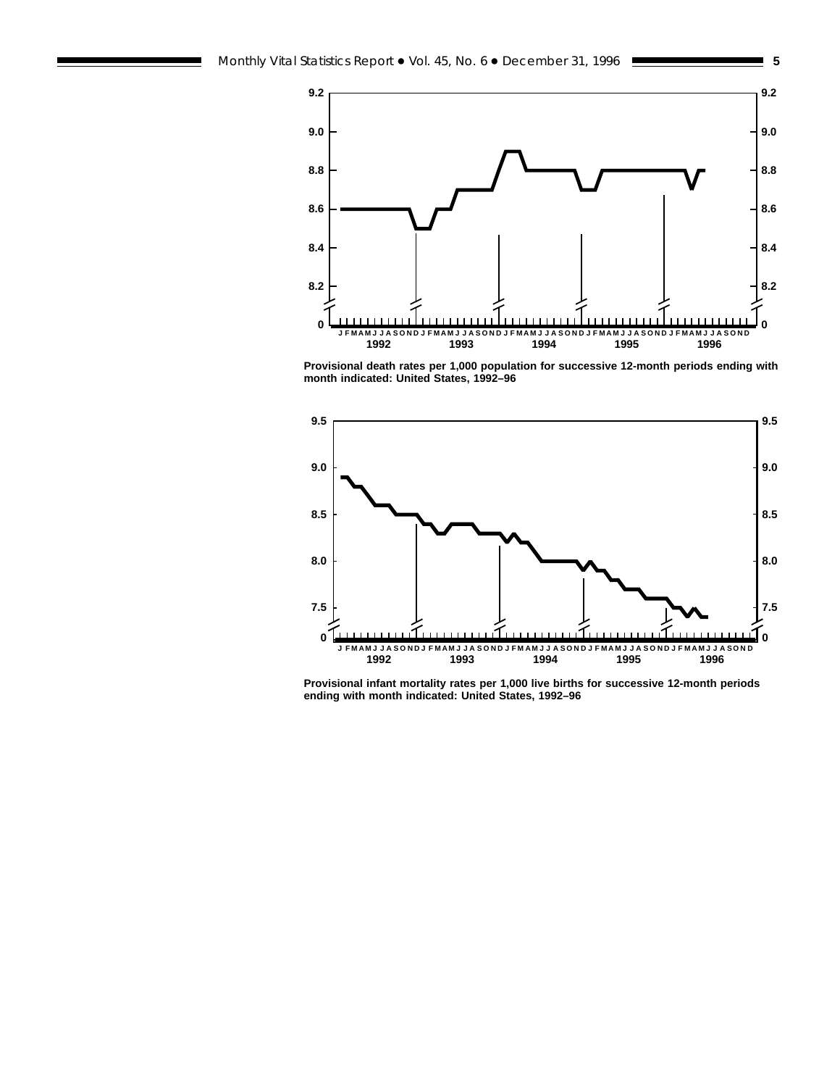



**Provisional death rates per 1,000 population for successive 12-month periods ending with month indicated: United States, 1992–96**



**Provisional infant mortality rates per 1,000 live births for successive 12-month periods ending with month indicated: United States, 1992–96**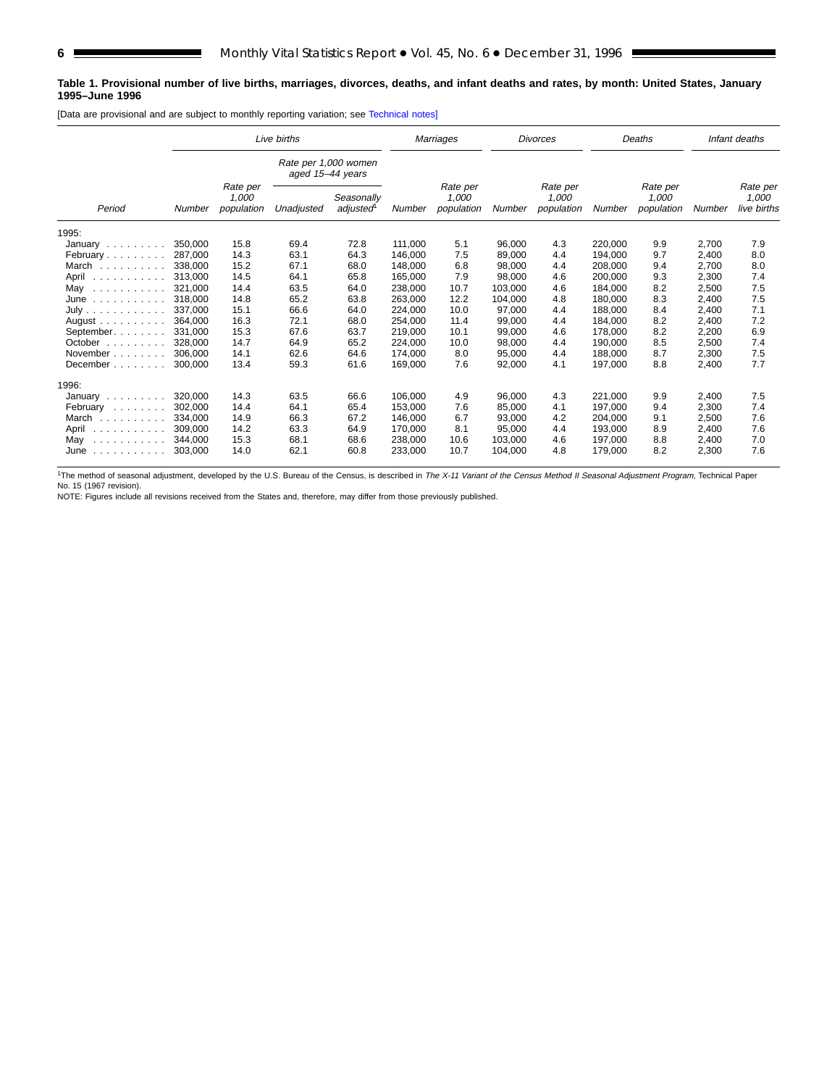#### **Table 1. Provisional number of live births, marriages, divorces, deaths, and infant deaths and rates, by month: United States, January 1995–June 1996**

[Data are provisional and are subject to monthly reporting variation; see [Technical notes\]](#page-16-0)

|                                                                                                |               |                                 | Live births                              |                        | Marriages |                                 |         | <b>Divorces</b>                 |         | Deaths                          |        | Infant deaths                    |
|------------------------------------------------------------------------------------------------|---------------|---------------------------------|------------------------------------------|------------------------|-----------|---------------------------------|---------|---------------------------------|---------|---------------------------------|--------|----------------------------------|
|                                                                                                |               |                                 | Rate per 1,000 women<br>aged 15-44 years |                        |           |                                 |         |                                 |         |                                 |        |                                  |
| Period                                                                                         | <b>Number</b> | Rate per<br>1,000<br>population | Unadjusted                               | Seasonally<br>adjusted | Number    | Rate per<br>1,000<br>population | Number  | Rate per<br>1,000<br>population | Number  | Rate per<br>1,000<br>population | Number | Rate per<br>1,000<br>live births |
| 1995:                                                                                          |               |                                 |                                          |                        |           |                                 |         |                                 |         |                                 |        |                                  |
| January                                                                                        | 350,000       | 15.8                            | 69.4                                     | 72.8                   | 111.000   | 5.1                             | 96.000  | 4.3                             | 220.000 | 9.9                             | 2,700  | 7.9                              |
| February                                                                                       | 287,000       | 14.3                            | 63.1                                     | 64.3                   | 146.000   | 7.5                             | 89,000  | 4.4                             | 194,000 | 9.7                             | 2,400  | 8.0                              |
| March                                                                                          | 338,000       | 15.2                            | 67.1                                     | 68.0                   | 148.000   | 6.8                             | 98,000  | 4.4                             | 208,000 | 9.4                             | 2,700  | 8.0                              |
| April                                                                                          | 313.000       | 14.5                            | 64.1                                     | 65.8                   | 165,000   | 7.9                             | 98,000  | 4.6                             | 200.000 | 9.3                             | 2,300  | 7.4                              |
| May<br>.                                                                                       | 321,000       | 14.4                            | 63.5                                     | 64.0                   | 238,000   | 10.7                            | 103,000 | 4.6                             | 184,000 | 8.2                             | 2,500  | 7.5                              |
| June<br>.                                                                                      | 318,000       | 14.8                            | 65.2                                     | 63.8                   | 263.000   | 12.2                            | 104,000 | 4.8                             | 180.000 | 8.3                             | 2.400  | 7.5                              |
| July                                                                                           | 337.000       | 15.1                            | 66.6                                     | 64.0                   | 224.000   | 10.0                            | 97.000  | 4.4                             | 188.000 | 8.4                             | 2,400  | 7.1                              |
| August $\ldots$ , $\ldots$                                                                     | 364,000       | 16.3                            | 72.1                                     | 68.0                   | 254,000   | 11.4                            | 99,000  | 4.4                             | 184,000 | 8.2                             | 2,400  | 7.2                              |
| September.                                                                                     | 331.000       | 15.3                            | 67.6                                     | 63.7                   | 219,000   | 10.1                            | 99,000  | 4.6                             | 178,000 | 8.2                             | 2,200  | 6.9                              |
| October                                                                                        | 328,000       | 14.7                            | 64.9                                     | 65.2                   | 224.000   | 10.0                            | 98,000  | 4.4                             | 190.000 | 8.5                             | 2,500  | 7.4                              |
| November                                                                                       | 306.000       | 14.1                            | 62.6                                     | 64.6                   | 174,000   | 8.0                             | 95,000  | 4.4                             | 188.000 | 8.7                             | 2,300  | 7.5                              |
| December                                                                                       | 300,000       | 13.4                            | 59.3                                     | 61.6                   | 169,000   | 7.6                             | 92,000  | 4.1                             | 197,000 | 8.8                             | 2,400  | 7.7                              |
| 1996:                                                                                          |               |                                 |                                          |                        |           |                                 |         |                                 |         |                                 |        |                                  |
| January                                                                                        | 320,000       | 14.3                            | 63.5                                     | 66.6                   | 106,000   | 4.9                             | 96,000  | 4.3                             | 221,000 | 9.9                             | 2,400  | 7.5                              |
| February                                                                                       | 302.000       | 14.4                            | 64.1                                     | 65.4                   | 153.000   | 7.6                             | 85.000  | 4.1                             | 197.000 | 9.4                             | 2.300  | 7.4                              |
| March                                                                                          | 334.000       | 14.9                            | 66.3                                     | 67.2                   | 146,000   | 6.7                             | 93,000  | 4.2                             | 204.000 | 9.1                             | 2,500  | 7.6                              |
| April<br>$\begin{array}{cccccccccccccc} . & . & . & . & . & . & . & . & . & . & . \end{array}$ | 309,000       | 14.2                            | 63.3                                     | 64.9                   | 170,000   | 8.1                             | 95,000  | 4.4                             | 193,000 | 8.9                             | 2,400  | 7.6                              |
| May<br>.                                                                                       | 344.000       | 15.3                            | 68.1                                     | 68.6                   | 238,000   | 10.6                            | 103.000 | 4.6                             | 197.000 | 8.8                             | 2,400  | 7.0                              |
| June                                                                                           | 303,000       | 14.0                            | 62.1                                     | 60.8                   | 233,000   | 10.7                            | 104,000 | 4.8                             | 179,000 | 8.2                             | 2,300  | 7.6                              |

<sup>1</sup>The method of seasonal adjustment, developed by the U.S. Bureau of the Census, is described in The X-11 Variant of the Census Method II Seasonal Adjustment Program, Technical Paper No. 15 (1967 revision).

NOTE: Figures include all revisions received from the States and, therefore, may differ from those previously published.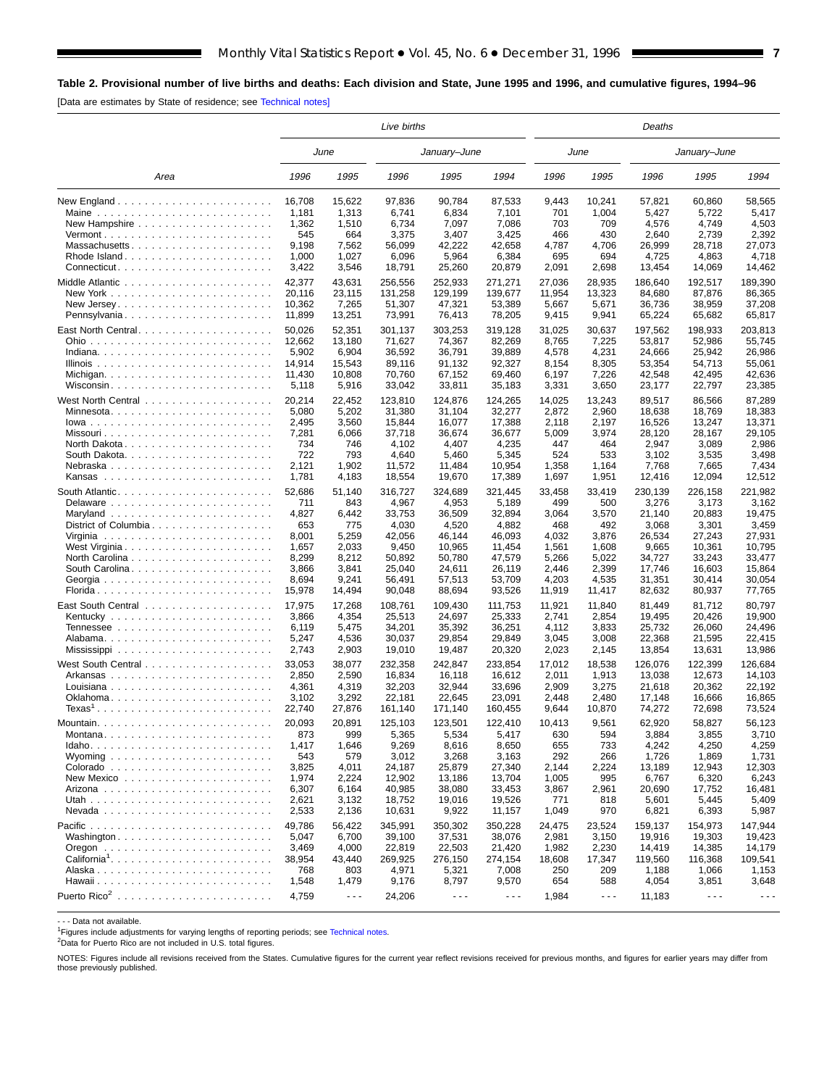<span id="page-6-0"></span>[Data are estimates by State of residence; see [Technical notes\]](#page-16-0)

|                                                           | Live births<br>June |                      |                  |                      |                  |                |                      | Deaths           |                      |                      |
|-----------------------------------------------------------|---------------------|----------------------|------------------|----------------------|------------------|----------------|----------------------|------------------|----------------------|----------------------|
|                                                           |                     |                      |                  | January–June         |                  |                | June                 |                  | January-June         |                      |
| Area                                                      | 1996                | 1995                 | 1996             | 1995                 | 1994             | 1996           | 1995                 | 1996             | 1995                 | 1994                 |
|                                                           | 16,708              | 15,622               | 97,836           | 90,784               | 87,533           | 9,443          | 10,241               | 57,821           | 60,860               | 58,565               |
|                                                           | 1,181               | 1,313                | 6,741            | 6,834                | 7,101            | 701            | 1,004                | 5,427            | 5,722                | 5,417                |
| New Hampshire $\ldots \ldots \ldots \ldots \ldots \ldots$ | 1,362               | 1,510                | 6,734            | 7,097                | 7,086            | 703            | 709                  | 4,576            | 4,749                | 4,503                |
|                                                           | 545                 | 664                  | 3,375            | 3,407                | 3,425            | 466            | 430                  | 2,640            | 2,739                | 2,392                |
| Massachusetts                                             | 9,198               | 7,562<br>1,027       | 56,099           | 42,222               | 42,658           | 4,787          | 4,706                | 26,999<br>4,725  | 28,718               | 27,073<br>4,718      |
| Rhode Island                                              | 1,000<br>3,422      | 3,546                | 6,096<br>18,791  | 5,964<br>25,260      | 6,384<br>20,879  | 695<br>2,091   | 694<br>2,698         | 13,454           | 4,863<br>14,069      | 14,462               |
|                                                           |                     |                      |                  |                      |                  |                |                      |                  |                      |                      |
|                                                           | 42,377              | 43,631               | 256,556          | 252,933              | 271,271          | 27,036         | 28,935               | 186,640          | 192,517              | 189,390              |
|                                                           | 20,116              | 23,115               | 131,258          | 129,199              | 139,677          | 11,954         | 13,323               | 84,680           | 87.876               | 86.365               |
|                                                           | 10,362              | 7,265                | 51,307           | 47,321               | 53,389           | 5,667          | 5,671                | 36,736           | 38,959               | 37,208               |
| Pennsylvania                                              | 11,899              | 13,251               | 73,991           | 76,413               | 78,205           | 9,415          | 9,941                | 65,224           | 65,682               | 65,817               |
|                                                           | 50,026              | 52,351               | 301,137          | 303,253              | 319,128          | 31,025         | 30,637               | 197,562          | 198,933              | 203,813              |
|                                                           | 12,662              | 13,180               | 71,627           | 74,367               | 82,269           | 8,765          | 7,225                | 53,817           | 52,986               | 55,745               |
|                                                           | 5,902               | 6,904                | 36,592           | 36,791               | 39,889           | 4,578          | 4,231                | 24,666           | 25,942               | 26,986               |
|                                                           | 14,914<br>11,430    | 15,543               | 89,116           | 91,132<br>67,152     | 92,327           | 8,154          | 8,305                | 53,354<br>42,548 | 54,713               | 55,061<br>42,636     |
| Wisconsin                                                 | 5,118               | 10,808<br>5,916      | 70,760<br>33,042 | 33,811               | 69,460<br>35,183 | 6,197<br>3,331 | 7,226<br>3,650       | 23,177           | 42,495<br>22,797     | 23,385               |
|                                                           |                     |                      |                  |                      |                  |                |                      |                  |                      |                      |
|                                                           | 20,214              | 22,452               | 123,810          | 124,876              | 124,265          | 14,025         | 13,243               | 89,517           | 86,566               | 87,289               |
| Minnesota                                                 | 5,080               | 5,202                | 31,380           | 31,104               | 32,277           | 2,872          | 2,960                | 18,638           | 18,769               | 18,383               |
|                                                           | 2,495               | 3,560                | 15,844           | 16,077               | 17,388           | 2,118          | 2,197                | 16,526           | 13,247               | 13,371               |
| North Dakota                                              | 7,281<br>734        | 6,066<br>746         | 37,718<br>4,102  | 36,674<br>4,407      | 36,677<br>4,235  | 5,009<br>447   | 3,974<br>464         | 28,120<br>2,947  | 28,167<br>3,089      | 29,105<br>2,986      |
|                                                           | 722                 | 793                  | 4,640            | 5,460                | 5,345            | 524            | 533                  | 3,102            | 3,535                | 3,498                |
| Nebraska                                                  | 2,121               | 1,902                | 11,572           | 11,484               | 10,954           | 1,358          | 1,164                | 7,768            | 7,665                | 7,434                |
|                                                           | 1,781               | 4,183                | 18,554           | 19,670               | 17,389           | 1,697          | 1,951                | 12,416           | 12,094               | 12,512               |
|                                                           |                     |                      |                  |                      |                  |                |                      |                  |                      |                      |
|                                                           | 52,686              | 51,140<br>843        | 316,727          | 324,689              | 321,445          | 33,458         | 33,419               | 230.139          | 226,158              | 221,982              |
|                                                           | 711<br>4,827        | 6,442                | 4,967            | 4,953<br>36,509      | 5,189            | 499<br>3,064   | 500                  | 3,276            | 3,173<br>20,883      | 3,162<br>19,475      |
| District of Columbia                                      | 653                 | 775                  | 33,753<br>4,030  | 4,520                | 32,894<br>4,882  | 468            | 3,570<br>492         | 21,140<br>3,068  | 3,301                | 3,459                |
|                                                           | 8,001               | 5,259                | 42,056           | 46,144               | 46,093           | 4,032          | 3,876                | 26,534           | 27,243               | 27,931               |
| West Virginia                                             | 1,657               | 2,033                | 9,450            | 10,965               | 11,454           | 1,561          | 1,608                | 9,665            | 10,361               | 10,795               |
| North Carolina                                            | 8,299               | 8,212                | 50,892           | 50,780               | 47,579           | 5,266          | 5,022                | 34,727           | 33,243               | 33,477               |
| South Carolina                                            | 3,866               | 3,841                | 25,040           | 24,611               | 26,119           | 2,446          | 2,399                | 17,746           | 16,603               | 15,864               |
|                                                           | 8,694               | 9,241                | 56,491           | 57,513               | 53,709           | 4,203          | 4,535                | 31,351           | 30,414               | 30,054               |
|                                                           | 15,978              | 14,494               | 90,048           | 88,694               | 93,526           | 11,919         | 11,417               | 82,632           | 80,937               | 77,765               |
|                                                           | 17,975              | 17,268               | 108,761          | 109,430              | 111,753          | 11,921         | 11,840               | 81,449           | 81,712               | 80,797               |
|                                                           | 3,866               | 4,354                | 25,513           | 24,697               | 25,333           | 2,741          | 2,854                | 19,495           | 20,426               | 19,900               |
|                                                           | 6,119               | 5,475                | 34,201           | 35,392               | 36,251           | 4,112          | 3,833                | 25,732           | 26,060               | 24,496               |
|                                                           | 5,247               | 4,536                | 30,037           | 29,854               | 29,849           | 3,045          | 3,008                | 22,368           | 21,595               | 22,415               |
|                                                           | 2,743               | 2,903                | 19,010           | 19,487               | 20,320           | 2,023          | 2,145                | 13,854           | 13,631               | 13,986               |
|                                                           | 33,053              | 38,077               | 232.358          | 242,847              | 233,854          | 17,012         | 18,538               | 126,076          | 122,399              | 126,684              |
|                                                           | 2,850               | 2,590                | 16,834           | 16,118               | 16,612           | 2,011          | 1,913                | 13,038           | 12,673               | 14,103               |
|                                                           | 4,361               | 4,319                | 32,203           | 32,944               | 33,696           | 2,909          | 3,275                | 21,618           | 20,362               | 22,192               |
|                                                           | 3,102               | 3,292                | 22,181           | 22,645               | 23,091           | 2,448          | 2,480                | 17,148           | 16,666               | 16,865               |
| $Texas1$                                                  | 22,740              | 27,876               | 161,140          | 171,140              | 160,455          | 9,644          | 10,870               | 74,272           | 72,698               | 73,524               |
| Mountain.                                                 | 20,093              | 20,891               | 125,103          | 123,501              | 122.410          | 10,413         | 9,561                | 62,920           | 58,827               | 56,123               |
| Montana                                                   | 873                 | 999                  | 5,365            | 5,534                | 5,417            | 630            | 594                  | 3,884            | 3,855                | 3,710                |
|                                                           | 1,417               | 1,646                | 9,269            | 8,616                | 8,650            | 655            | 733                  | 4,242            | 4,250                | 4,259                |
|                                                           | 543                 | 579                  | 3,012            | 3,268                | 3,163            | 292            | 266                  | 1,726            | 1,869                | 1,731                |
|                                                           | 3,825               | 4,011                | 24,187           | 25,879               | 27,340           | 2,144          | 2,224                | 13,189           | 12,943               | 12,303               |
|                                                           | 1,974               | 2,224                | 12,902           | 13,186               | 13,704           | 1,005          | 995                  | 6,767            | 6,320                | 6,243                |
|                                                           | 6,307               | 6,164                | 40,985           | 38,080               | 33,453           | 3,867          | 2,961                | 20,690           | 17,752               | 16,481               |
|                                                           | 2,621               | 3,132                | 18,752           | 19,016               | 19,526           | 771            | 818                  | 5,601            | 5,445                | 5,409                |
|                                                           | 2,533               | 2,136                | 10,631           | 9,922                | 11,157           | 1,049          | 970                  | 6,821            | 6,393                | 5,987                |
|                                                           | 49,786              | 56,422               | 345,991          | 350,302              | 350,228          | 24,475         | 23,524               | 159,137          | 154,973              | 147,944              |
| Washington                                                | 5,047               | 6,700                | 39,100           | 37,531               | 38,076           | 2,981          | 3,150                | 19,916           | 19,303               | 19,423               |
|                                                           | 3,469               | 4,000                | 22,819           | 22,503               | 21,420           | 1,982          | 2,230                | 14,419           | 14,385               | 14,179               |
| California <sup>1</sup>                                   | 38,954              | 43,440               | 269,925          | 276,150              | 274,154          | 18,608         | 17,347               | 119,560          | 116,368              | 109,541              |
|                                                           | 768                 | 803                  | 4,971            | 5,321                | 7,008            | 250            | 209                  | 1,188            | 1,066                | 1,153                |
|                                                           | 1,548               | 1,479                | 9,176            | 8,797                | 9,570            | 654            | 588                  | 4,054            | 3,851                | 3,648                |
|                                                           | 4,759               | $\sim$ $\sim$ $\sim$ | 24,206           | $\sim$ $\sim$ $\sim$ | $\ddotsc$        | 1,984          | $\sim$ $\sim$ $\sim$ | 11,183           | $\sim$ $\sim$ $\sim$ | $\sim$ $\sim$ $\sim$ |
|                                                           |                     |                      |                  |                      |                  |                |                      |                  |                      |                      |

- - - Data not available.

<sup>1</sup>Figures include adjustments for varying lengths of reporting periods; see [Technical notes.](#page-16-0)

2Data for Puerto Rico are not included in U.S. total figures.

NOTES: Figures include all revisions received from the States. Cumulative figures for the current year reflect revisions received for previous months, and figures for earlier years may differ from those previously published.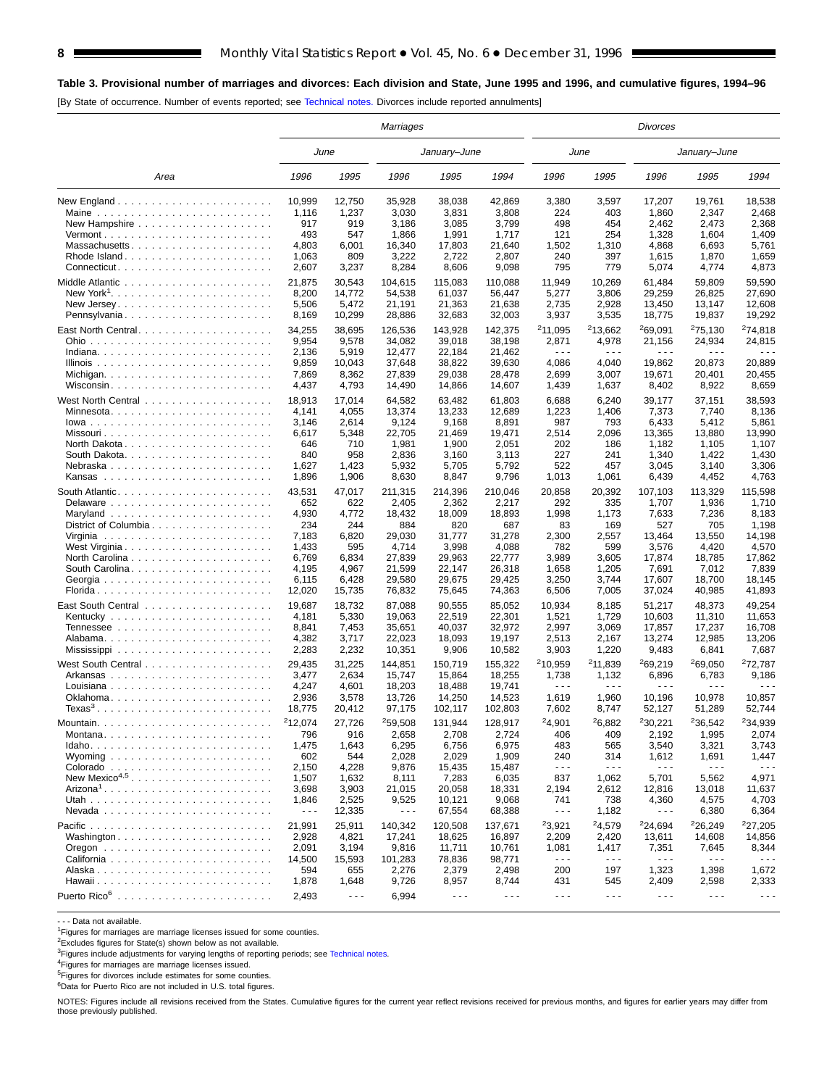#### **Table 3. Provisional number of marriages and divorces: Each division and State, June 1995 and 1996, and cumulative figures, 1994–96**

[By State of occurrence. Number of events reported; see [Technical notes.](#page-16-0) Divorces include reported annulments]

|                                                                  |                      |                      | <b>Marriages</b>     |                      |                      | Divorces             |                      |                      |                      |                      |  |
|------------------------------------------------------------------|----------------------|----------------------|----------------------|----------------------|----------------------|----------------------|----------------------|----------------------|----------------------|----------------------|--|
|                                                                  |                      | June                 |                      | January-June         |                      |                      | June                 |                      | January–June         |                      |  |
| Area                                                             | 1996                 | 1995                 | 1996                 | 1995                 | 1994                 | 1996                 | 1995                 | 1996                 | 1995                 | 1994                 |  |
|                                                                  | 10,999               | 12,750               | 35,928               | 38,038               | 42,869               | 3,380                | 3,597                | 17,207               | 19,761               | 18,538               |  |
| Maine $\ldots \ldots \ldots \ldots \ldots \ldots \ldots \ldots$  | 1,116                | 1,237                | 3,030                | 3,831                | 3,808                | 224                  | 403                  | 1,860                | 2,347                | 2,468                |  |
|                                                                  | 917                  | 919                  | 3,186                | 3,085                | 3,799                | 498                  | 454                  | 2,462                | 2,473                | 2,368                |  |
|                                                                  | 493                  | 547                  | 1,866                | 1,991                | 1,717                | 121                  | 254                  | 1,328                | 1,604                | 1,409                |  |
| Massachusetts                                                    | 4,803                | 6,001                | 16,340               | 17,803               | 21,640               | 1,502                | 1,310                | 4,868                | 6,693                | 5,761                |  |
| Rhode Island                                                     | 1,063                | 809                  | 3,222                | 2,722                | 2,807                | 240<br>795           | 397<br>779           | 1,615                | 1,870                | 1,659<br>4,873       |  |
|                                                                  | 2,607                | 3,237                | 8,284                | 8,606                | 9,098                |                      |                      | 5,074                | 4,774                |                      |  |
|                                                                  | 21,875               | 30.543               | 104,615              | 115,083              | 110,088              | 11,949               | 10,269               | 61,484               | 59,809               | 59,590               |  |
|                                                                  | 8,200                | 14,772               | 54,538               | 61,037               | 56,447               | 5,277                | 3,806                | 29.259               | 26,825               | 27,690               |  |
|                                                                  | 5,506                | 5,472                | 21,191               | 21,363               | 21,638               | 2,735                | 2,928                | 13,450               | 13,147               | 12,608               |  |
| Pennsylvania                                                     | 8,169                | 10,299               | 28,886               | 32,683               | 32,003               | 3,937                | 3,535                | 18,775               | 19,837               | 19,292               |  |
|                                                                  | 34,255               | 38,695               | 126,536              | 143,928              | 142,375              | 211,095              | 213,662              | 269,091              | 275,130              | <sup>2</sup> 74,818  |  |
|                                                                  | 9,954                | 9,578                | 34,082               | 39,018               | 38,198               | 2,871                | 4,978                | 21,156               | 24,934               | 24,815               |  |
|                                                                  | 2,136                | 5,919                | 12,477               | 22,184               | 21,462               | $\sim$ $\sim$ $\sim$ | $\sim$ $\sim$ $\sim$ | .                    | $\sim$ $\sim$ $\sim$ |                      |  |
|                                                                  | 9,859<br>7,869       | 10,043<br>8,362      | 37,648<br>27,839     | 38,822<br>29,038     | 39,630<br>28,478     | 4,086<br>2,699       | 4,040<br>3,007       | 19,862<br>19,671     | 20,873<br>20,401     | 20,889<br>20,455     |  |
| Wisconsin                                                        | 4,437                | 4,793                | 14,490               | 14,866               | 14,607               | 1,439                | 1,637                | 8,402                | 8,922                | 8,659                |  |
|                                                                  |                      |                      |                      |                      |                      |                      |                      |                      |                      |                      |  |
|                                                                  | 18,913               | 17,014               | 64,582               | 63,482               | 61,803               | 6,688                | 6,240                | 39,177               | 37,151               | 38,593               |  |
| Minnesota                                                        | 4,141                | 4,055                | 13,374               | 13,233               | 12,689               | 1,223                | 1,406                | 7,373                | 7,740                | 8,136                |  |
|                                                                  | 3,146                | 2,614                | 9,124                | 9,168                | 8,891                | 987                  | 793                  | 6,433                | 5,412                | 5,861                |  |
|                                                                  | 6,617                | 5,348<br>710         | 22,705<br>1,981      | 21,469               | 19,471               | 2,514<br>202         | 2,096<br>186         | 13,365               | 13,880               | 13,990<br>1,107      |  |
|                                                                  | 646<br>840           | 958                  | 2,836                | 1,900<br>3,160       | 2,051<br>3,113       | 227                  | 241                  | 1,182<br>1,340       | 1,105<br>1,422       | 1,430                |  |
| Nebraska                                                         | 1,627                | 1,423                | 5,932                | 5,705                | 5,792                | 522                  | 457                  | 3,045                | 3,140                | 3,306                |  |
|                                                                  | 1,896                | 1,906                | 8,630                | 8,847                | 9,796                | 1,013                | 1,061                | 6,439                | 4,452                | 4,763                |  |
|                                                                  |                      |                      |                      |                      |                      |                      |                      |                      |                      |                      |  |
|                                                                  | 43,531<br>652        | 47.017<br>622        | 211,315<br>2,405     | 214,396              | 210,046              | 20,858               | 20,392               | 107,103              | 113,329<br>1,936     | 115,598<br>1,710     |  |
|                                                                  | 4,930                | 4,772                | 18,432               | 2,362<br>18,009      | 2,217<br>18,893      | 292<br>1,998         | 335<br>1,173         | 1,707<br>7,633       | 7,236                | 8,183                |  |
| District of Columbia                                             | 234                  | 244                  | 884                  | 820                  | 687                  | 83                   | 169                  | 527                  | 705                  | 1,198                |  |
|                                                                  | 7,183                | 6,820                | 29,030               | 31,777               | 31,278               | 2,300                | 2,557                | 13,464               | 13,550               | 14,198               |  |
| West Virginia                                                    | 1,433                | 595                  | 4,714                | 3,998                | 4,088                | 782                  | 599                  | 3,576                | 4,420                | 4,570                |  |
|                                                                  | 6,769                | 6,834                | 27,839               | 29,963               | 22,777               | 3,989                | 3,605                | 17,874               | 18,785               | 17,862               |  |
| South Carolina                                                   | 4,195                | 4,967                | 21,599               | 22,147               | 26,318               | 1,658                | 1,205                | 7,691                | 7,012                | 7,839                |  |
|                                                                  | 6,115                | 6,428                | 29,580               | 29,675               | 29,425               | 3,250                | 3,744                | 17,607               | 18,700               | 18,145               |  |
|                                                                  | 12,020               | 15,735               | 76,832               | 75,645               | 74,363               | 6,506                | 7,005                | 37,024               | 40,985               | 41,893               |  |
|                                                                  | 19,687               | 18,732               | 87,088               | 90,555               | 85,052               | 10,934               | 8,185                | 51,217               | 48,373               | 49,254               |  |
|                                                                  | 4,181                | 5,330                | 19,063               | 22,519               | 22,301               | 1,521                | 1,729                | 10,603               | 11,310               | 11,653               |  |
|                                                                  | 8,841                | 7,453                | 35,651               | 40,037               | 32,972               | 2,997                | 3,069                | 17,857               | 17,237               | 16,708               |  |
|                                                                  | 4,382                | 3,717                | 22,023               | 18,093               | 19,197               | 2,513                | 2,167                | 13,274               | 12,985               | 13,206               |  |
|                                                                  | 2,283                | 2,232                | 10,351               | 9,906                | 10,582               | 3,903                | 1,220                | 9,483                | 6,841                | 7,687                |  |
|                                                                  | 29,435               | 31,225               | 144,851              | 150,719              | 155,322              | <sup>2</sup> 10,959  | <sup>2</sup> 11,839  | 269,219              | 269,050              | 272,787              |  |
| Arkansas                                                         | 3,477                | 2,634                | 15,747               | 15,864               | 18,255               | 1,738                | 1,132                | 6,896                | 6,783                | 9,186                |  |
|                                                                  | 4,247                | 4,601                | 18,203               | 18,488               | 19,741               | $\sim$ $\sim$ $\sim$ | $\sim$ $\sim$ $\sim$ | $\sim$ $\sim$ $\sim$ | $\sim$ $\sim$ $\sim$ | - - -                |  |
|                                                                  | 2,936                | 3,578                | 13,726               | 14,250               | 14,523               | 1,619                | 1,960                | 10,196               | 10,978               | 10,857               |  |
| $Texas3$                                                         | 18,775               | 20,412               | 97,175               | 102,117              | 102,803              | 7,602                | 8,747                | 52,127               | 51,289               | 52,744               |  |
|                                                                  | 212,074              | 27,726               | 259,508              | 131,944              | 128,917              | 24,901               | 26,882               | 230,221              | 236,542              | 234,939              |  |
| Montana                                                          | 796                  | 916                  | 2,658                | 2,708                | 2,724                | 406                  | 409                  | 2,192                | 1,995                | 2,074                |  |
|                                                                  | 1,475                | 1,643                | 6,295                | 6,756                | 6,975                | 483                  | 565                  | 3,540                | 3,321                | 3,743                |  |
|                                                                  | 602                  | 544                  | 2,028                | 2,029                | 1,909                | 240                  | 314                  | 1,612                | 1,691                | 1,447                |  |
|                                                                  | 2,150                | 4,228                | 9,876                | 15,435               | 15,487               | $\sim$ $\sim$ $\sim$ | $\sim$ $\sim$ $\sim$ | $- - -$              | $\sim$ $\sim$ $\sim$ | $\sim$ $\sim$ $\sim$ |  |
| New Mexico <sup>4,5</sup>                                        | 1,507                | 1,632                | 8,111                | 7,283                | 6,035                | 837                  | 1,062                | 5,701                | 5,562                | 4,971                |  |
|                                                                  | 3,698                | 3,903                | 21,015               | 20,058               | 18,331               | 2,194                | 2,612                | 12,816               | 13,018               | 11,637               |  |
|                                                                  | 1,846                | 2,525                | 9,525                | 10,121               | 9,068                | 741                  | 738                  | 4,360                | 4,575                | 4,703                |  |
|                                                                  | $\sim$ $\sim$ $\sim$ | 12,335               | $\sim$ $\sim$ $\sim$ | 67,554               | 68,388               | $\sim$ $\sim$ $\sim$ | 1,182                | $- - -$              | 6,380                | 6,364                |  |
|                                                                  | 21,991               | 25,911               | 140,342              | 120,508              | 137,671              | 23,921               | 24,579               | 24,694               | 226,249              | 227,205              |  |
| Washington                                                       | 2,928                | 4,821                | 17,241               | 18,625               | 16,897               | 2,209                | 2,420                | 13,611               | 14,608               | 14,856               |  |
| Oregon $\ldots \ldots \ldots \ldots \ldots \ldots \ldots \ldots$ | 2,091                | 3,194                | 9,816                | 11,711               | 10,761               | 1,081                | 1,417                | 7,351                | 7,645                | 8,344                |  |
|                                                                  | 14,500               | 15,593               | 101,283              | 78,836               | 98,771               | $\sim$ $\sim$ $\sim$ | $\sim$ $\sim$ $\sim$ | $- - -$              | $- - -$              | $- - -$              |  |
|                                                                  | 594                  | 655                  | 2,276                | 2,379                | 2,498                | 200                  | 197                  | 1,323                | 1,398                | 1,672                |  |
|                                                                  | 1,878                | 1,648                | 9,726                | 8,957                | 8,744                | 431                  | 545                  | 2,409                | 2,598                | 2,333                |  |
|                                                                  | 2,493                | $\sim$ $\sim$ $\sim$ | 6,994                | $\sim$ $\sim$ $\sim$ | $\sim$ $\sim$ $\sim$ | $\sim$ $\sim$ $\sim$ | $\sim$ $\sim$ $\sim$ | $\sim$ $\sim$ $\sim$ | $\sim$ $\sim$ $\sim$ | $\sim$ $\sim$ $\sim$ |  |

- - - Data not available.

<sup>1</sup>Figures for marriages are marriage licenses issued for some counties.

2Excludes figures for State(s) shown below as not available.

<sup>3</sup>Figures include adjustments for varying lengths of reporting periods; see [Technical notes.](#page-16-0)

4Figures for marriages are marriage licenses issued.

5Figures for divorces include estimates for some counties.

 $6D$ ata for Puerto Rico are not included in U.S. total figures.

NOTES: Figures include all revisions received from the States. Cumulative figures for the current year reflect revisions received for previous months, and figures for earlier years may differ from those previously published.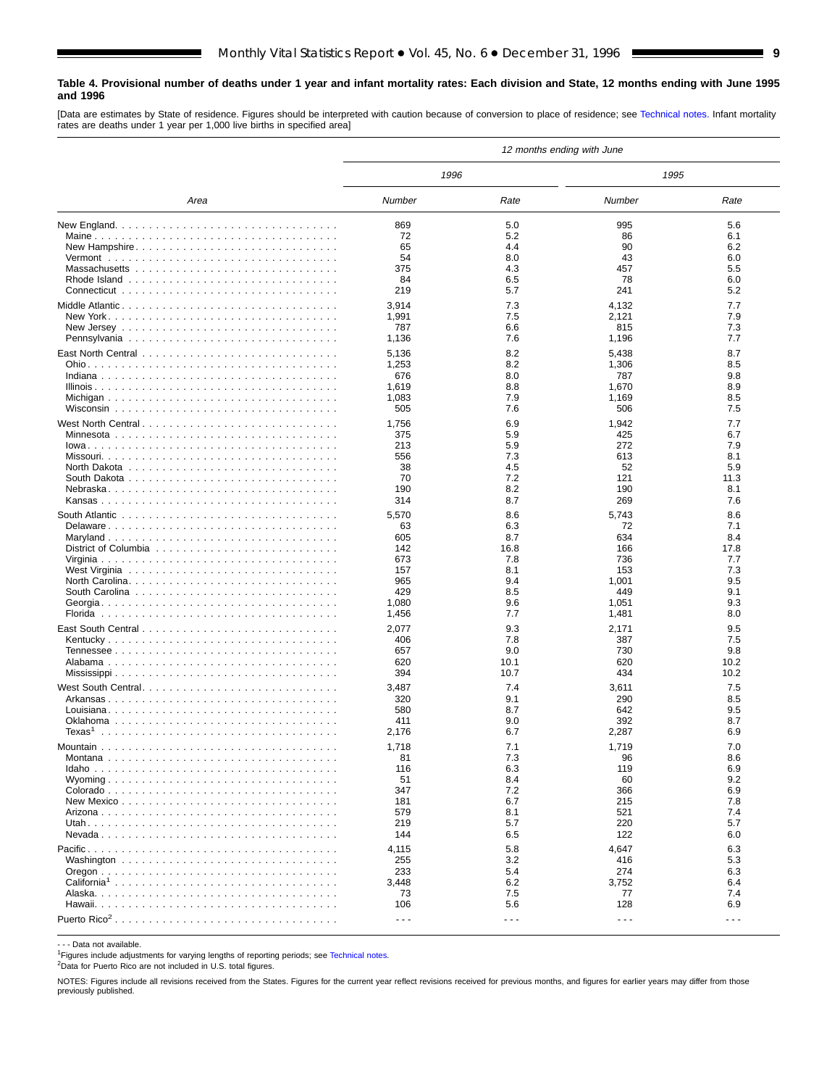#### <span id="page-8-0"></span>**Table 4. Provisional number of deaths under 1 year and infant mortality rates: Each division and State, 12 months ending with June 1995 and 1996**

[Data are estimates by State of residence. Figures should be interpreted with caution because of conversion to place of residence; see [Technical notes.](#page-16-0) Infant mortality rates are deaths under 1 year per 1,000 live births in specified area]

|                                                                                    |                      |                      | 12 months ending with June |                      |
|------------------------------------------------------------------------------------|----------------------|----------------------|----------------------------|----------------------|
|                                                                                    | 1996                 |                      | 1995                       |                      |
| Area                                                                               | Number               | Rate                 | Number                     | Rate                 |
|                                                                                    | 869                  | 5.0                  | 995                        | 5.6                  |
|                                                                                    | 72                   | 5.2                  | 86                         | 6.1                  |
| New Hampshire                                                                      | 65                   | 4.4                  | 90                         | 6.2                  |
|                                                                                    | 54                   | 8.0                  | 43                         | 6.0                  |
|                                                                                    | 375                  | 4.3                  | 457                        | 5.5                  |
|                                                                                    | 84                   | 6.5                  | 78                         | 6.0                  |
|                                                                                    | 219                  | 5.7                  | 241                        | 5.2                  |
|                                                                                    | 3,914                | 7.3                  | 4,132                      | 7.7                  |
|                                                                                    | 1,991                | 7.5                  | 2,121                      | 7.9                  |
| New Jersey $\ldots \ldots \ldots \ldots \ldots \ldots \ldots \ldots \ldots \ldots$ | 787                  | 6.6                  | 815                        | 7.3                  |
|                                                                                    | 1,136                | 7.6                  | 1,196                      | 7.7                  |
|                                                                                    | 5,136                | 8.2                  | 5,438                      | 8.7                  |
|                                                                                    | 1,253                | 8.2                  | 1,306                      | 8.5                  |
|                                                                                    | 676                  | 8.0                  | 787                        | 9.8                  |
|                                                                                    | 1,619                | 8.8                  | 1,670                      | 8.9                  |
|                                                                                    | 1,083                | 7.9                  | 1,169                      | 8.5                  |
|                                                                                    | 505                  | 7.6                  | 506                        | 7.5                  |
|                                                                                    | 1,756                | 6.9                  | 1,942                      | 7.7                  |
|                                                                                    | 375                  | 5.9                  | 425                        | 6.7                  |
|                                                                                    | 213                  | 5.9                  | 272                        | 7.9                  |
|                                                                                    | 556                  | 7.3                  | 613                        | 8.1                  |
|                                                                                    | 38                   | 4.5                  | 52                         | 5.9                  |
|                                                                                    | 70                   | 7.2                  | 121                        | 11.3                 |
|                                                                                    | 190                  | 8.2                  | 190                        | 8.1                  |
|                                                                                    | 314                  | 8.7                  | 269                        | 7.6                  |
|                                                                                    | 5,570                | 8.6                  | 5,743                      | 8.6                  |
| Delaware                                                                           | 63                   | 6.3                  | 72                         | 7.1                  |
|                                                                                    | 605                  | 8.7                  | 634                        | 8.4                  |
|                                                                                    | 142                  | 16.8                 | 166                        | 17.8                 |
|                                                                                    | 673                  | 7.8                  | 736                        | 7.7                  |
|                                                                                    | 157                  | 8.1                  | 153                        | 7.3                  |
|                                                                                    | 965                  | 9.4                  | 1,001                      | 9.5                  |
|                                                                                    | 429                  | 8.5                  | 449                        | 9.1                  |
|                                                                                    | 1,080                | 9.6                  | 1,051                      | 9.3                  |
|                                                                                    | 1,456                | 7.7                  | 1,481                      | 8.0                  |
|                                                                                    | 2,077                | 9.3                  | 2,171                      | 9.5                  |
|                                                                                    | 406                  | 7.8                  | 387                        | 7.5                  |
|                                                                                    | 657                  | 9.0                  | 730                        | 9.8                  |
|                                                                                    | 620                  | 10.1                 | 620                        | 10.2                 |
|                                                                                    | 394                  | 10.7                 | 434                        | 10.2                 |
|                                                                                    | 3,487                | 7.4                  | 3,611                      | 7.5                  |
|                                                                                    | 320                  | 9.1                  | 290                        | 8.5                  |
|                                                                                    | 580                  | 8.7                  | 642                        | 9.5                  |
|                                                                                    | 411                  | 9.0                  | 392                        | 8.7                  |
| Texas <sup>1</sup>                                                                 | 2,176                | 6.7                  | 2,287                      | 6.9                  |
|                                                                                    | 1,718                | 7.1                  | 1,719                      | 7.0                  |
|                                                                                    | 81                   | 7.3                  | 96                         | 8.6                  |
|                                                                                    | 116                  | 6.3                  | 119                        | 6.9                  |
|                                                                                    | 51                   | 8.4                  | 60                         | 9.2                  |
|                                                                                    | 347                  | 7.2                  | 366                        | 6.9                  |
|                                                                                    | 181                  | 6.7                  | 215                        | 7.8                  |
|                                                                                    | 579                  | 8.1                  | 521                        | 7.4                  |
|                                                                                    | 219                  | 5.7                  | 220                        | 5.7                  |
|                                                                                    | 144                  | 6.5                  | 122                        | 6.0                  |
|                                                                                    | 4,115                | 5.8                  | 4,647                      | 6.3                  |
|                                                                                    | 255                  | 3.2                  | 416                        | 5.3                  |
|                                                                                    | 233                  | 5.4                  | 274                        | 6.3                  |
|                                                                                    | 3,448                | 6.2                  | 3,752                      | 6.4                  |
|                                                                                    | 73                   | 7.5                  | 77                         | 7.4                  |
|                                                                                    | 106                  | 5.6                  | 128                        | 6.9                  |
|                                                                                    | $\sim$ $\sim$ $\sim$ | $\sim$ $\sim$ $\sim$ | $\sim$ $\sim$ $\sim$       | $\sim$ $\sim$ $\sim$ |
|                                                                                    |                      |                      |                            |                      |

- - - Data not available.

<sup>1</sup>Figures include adjustments for varying lengths of reporting periods; see [Technical notes.](#page-16-0)

2Data for Puerto Rico are not included in U.S. total figures.

NOTES: Figures include all revisions received from the States. Figures for the current year reflect revisions received for previous months, and figures for earlier years may differ from those previously published.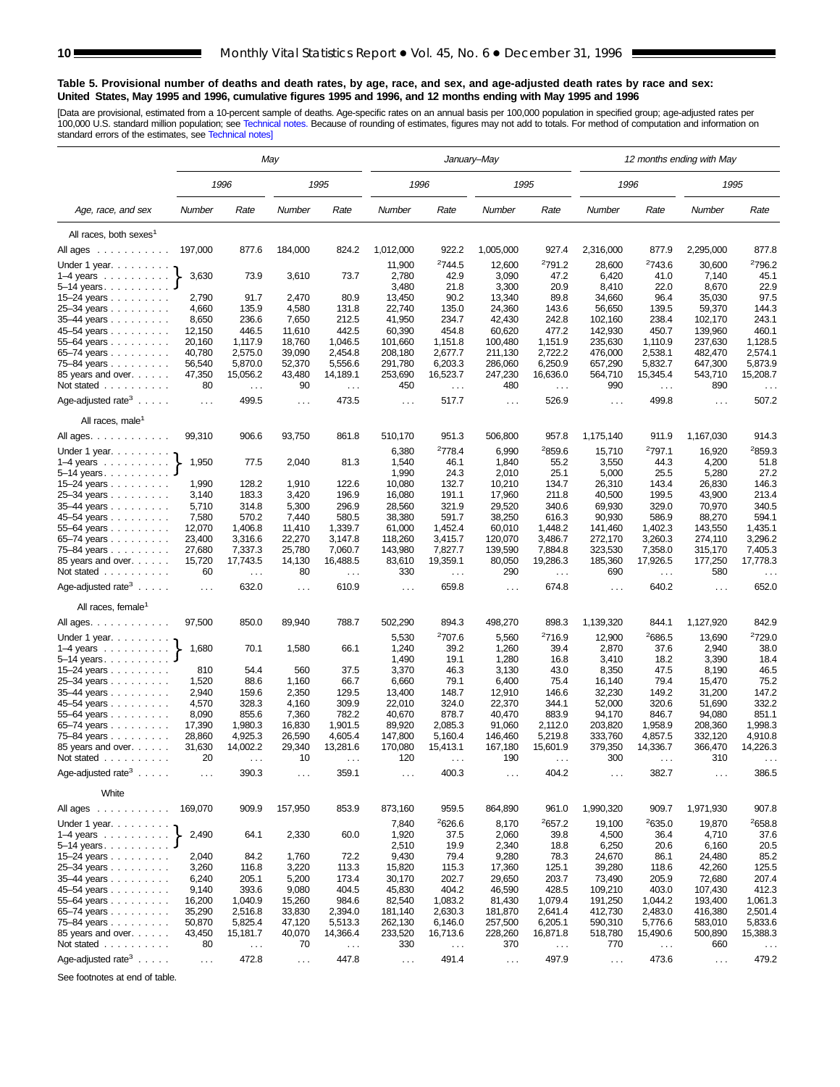#### <span id="page-9-0"></span>**Table 5. Provisional number of deaths and death rates, by age, race, and sex, and age-adjusted death rates by race and sex: United States, May 1995 and 1996, cumulative figures 1995 and 1996, and 12 months ending with May 1995 and 1996**

[Data are provisional, estimated from a 10-percent sample of deaths. Age-specific rates on an annual basis per 100,000 population in specified group; age-adjusted rates per<br>100,000 U.S. standard million population; see Tec

|                                                                       |                      | May           |               |               |                      |                    | January–May          |                    |                      |                    | 12 months ending with May |                    |
|-----------------------------------------------------------------------|----------------------|---------------|---------------|---------------|----------------------|--------------------|----------------------|--------------------|----------------------|--------------------|---------------------------|--------------------|
|                                                                       |                      | 1996          |               | 1995          | 1996                 |                    | 1995                 |                    | 1996                 |                    | 1995                      |                    |
| Age, race, and sex                                                    | Number               | Rate          | Number        | Rate          | Number               | Rate               | Number               | Rate               | Number               | Rate               | Number                    | Rate               |
| All races, both sexes <sup>1</sup>                                    |                      |               |               |               |                      |                    |                      |                    |                      |                    |                           |                    |
| All ages<br>$\mathcal{A}$ , and a set of the set of the $\mathcal{A}$ | 197,000              | 877.6         | 184,000       | 824.2         | 1,012,000            | 922.2              | 1,005,000            | 927.4              | 2,316,000            | 877.9              | 2,295,000                 | 877.8              |
| Under 1 year.                                                         |                      |               |               |               | 11,900               | <sup>2</sup> 744.5 | 12,600               | 2791.2             | 28,600               | <sup>2</sup> 743.6 | 30,600                    | 2796.2             |
| $1-4$ years $\ldots$ $\ldots$ $\ldots$                                | 3,630                | 73.9          | 3,610         | 73.7          | 2,780                | 42.9               | 3,090                | 47.2               | 6,420                | 41.0               | 7,140                     | 45.1               |
| $5-14$ years $\ldots$ $\ldots$ .                                      |                      |               |               |               | 3,480                | 21.8               | 3,300                | 20.9               | 8,410                | 22.0               | 8,670                     | 22.9               |
| 15–24 years $\ldots$                                                  | 2,790                | 91.7          | 2,470         | 80.9          | 13,450               | 90.2               | 13,340               | 89.8               | 34,660               | 96.4               | 35,030                    | 97.5               |
| 25-34 years                                                           | 4,660                | 135.9         | 4,580         | 131.8         | 22,740               | 135.0              | 24.360               | 143.6              | 56,650               | 139.5              | 59,370                    | 144.3              |
| 35-44 years                                                           | 8,650                | 236.6         | 7,650         | 212.5         | 41,950               | 234.7              | 42,430               | 242.8              | 102,160              | 238.4              | 102,170                   | 243.1              |
| 45-54 years                                                           | 12,150               | 446.5         | 11,610        | 442.5         | 60,390               | 454.8              | 60,620               | 477.2              | 142,930              | 450.7              | 139,960                   | 460.1              |
| 55-64 years                                                           | 20,160               | 1,117.9       | 18.760        | 1,046.5       | 101.660              | 1,151.8            | 100,480              | 1,151.9            | 235.630              | 1,110.9            | 237.630                   | 1,128.5            |
| 65-74 years                                                           | 40,780               | 2,575.0       | 39,090        | 2,454.8       | 208,180              | 2,677.7            | 211,130              | 2,722.2            | 476,000              | 2,538.1            | 482,470                   | 2,574.1            |
| 75–84 years                                                           | 56,540               | 5,870.0       | 52,370        | 5,556.6       | 291,780              | 6,203.3            | 286,060              | 6,250.9            | 657,290              | 5,832.7            | 647,300                   | 5,873.9            |
| 85 years and over.                                                    | 47,350               | 15,056.2      | 43,480        | 14,189.1      | 253,690              | 16,523.7           | 247,230              | 16,636.0           | 564,710              | 15,345.4           | 543,710                   | 15,208.7           |
| Not stated                                                            | 80                   | $\ldots$      | 90            | $\ldots$      | 450                  | $\sim$ $\sim$      | 480                  | $\ldots$           | 990                  | $\ldots$           | 890                       |                    |
| Age-adjusted rate <sup>3</sup> $\ldots$ .                             | $\sim$ .             | 499.5         | $\ldots$      | 473.5         | $\sim$ $\sim$ $\sim$ | 517.7              | $\sim$ $\sim$        | 526.9              | $\sim$ .             | 499.8              | $\sim$ $\sim$             | 507.2              |
| All races, male <sup>1</sup>                                          |                      |               |               |               |                      |                    |                      |                    |                      |                    |                           |                    |
| All ages.                                                             | 99,310               | 906.6         | 93,750        | 861.8         | 510,170              | 951.3              | 506,800              | 957.8              | 1,175,140            | 911.9              | 1,167,030                 | 914.3              |
| Under 1 year. $\ldots$                                                |                      |               |               |               | 6,380                | <sup>2</sup> 778.4 | 6,990                | <sup>2</sup> 859.6 | 15,710               | 2797.1             | 16,920                    | <sup>2</sup> 859.3 |
| $1-4$ years                                                           | 1,950                | 77.5          | 2,040         | 81.3          | 1,540                | 46.1               | 1,840                | 55.2               | 3,550                | 44.3               | 4,200                     | 51.8               |
| $5 - 14$ years                                                        |                      |               |               |               | 1,990                | 24.3               | 2,010                | 25.1               | 5,000                | 25.5               | 5,280                     | 27.2               |
| 15–24 years                                                           | 1,990                | 128.2         | 1,910         | 122.6         | 10,080               | 132.7              | 10,210               | 134.7              | 26,310               | 143.4              | 26,830                    | 146.3              |
| 25-34 years                                                           | 3,140                | 183.3         | 3,420         | 196.9         | 16,080               | 191.1              | 17,960               | 211.8              | 40,500               | 199.5              | 43,900                    | 213.4              |
| 35-44 years                                                           | 5,710                | 314.8         | 5,300         | 296.9         | 28,560               | 321.9              | 29,520               | 340.6              | 69,930               | 329.0              | 70,970                    | 340.5              |
| 45-54 years                                                           | 7,580                | 570.2         | 7,440         | 580.5         | 38,380               | 591.7              | 38,250               | 616.3              | 90,930               | 586.9              | 88,270                    | 594.1              |
| 55-64 years                                                           | 12,070               | 1,406.8       | 11,410        | 1,339.7       | 61,000               | 1,452.4            | 60,010               | 1,448.2            | 141,460              | 1,402.3            | 143,550                   | 1,435.1            |
| 65-74 years                                                           | 23,400               | 3,316.6       | 22,270        | 3,147.8       | 118,260              | 3,415.7            | 120,070              | 3,486.7            | 272,170              | 3,260.3            | 274,110                   | 3,296.2            |
| 75-84 years                                                           | 27,680               | 7,337.3       | 25,780        | 7,060.7       | 143,980              | 7,827.7            | 139,590              | 7,884.8            | 323,530              | 7,358.0            | 315,170                   | 7,405.3            |
| 85 years and over.                                                    | 15,720               | 17,743.5      | 14,130        | 16,488.5      | 83,610               | 19,359.1           | 80,050               | 19,286.3           | 185,360              | 17,926.5           | 177,250                   | 17,778.3           |
| Not stated                                                            | 60                   | $\sim$ .      | 80            | $\sim$ .      | 330                  | $\sim$ $\sim$      | 290                  | $\sim$ $\sim$      | 690                  | $\cdots$           | 580                       | $\sim$ $\sim$      |
| Age-adjusted rate <sup>3</sup> $\ldots$ .                             | $\mathbf{1}$         | 632.0         | $\mathbf{1}$  | 610.9         | $\cdots$             | 659.8              | $\sim 10$            | 674.8              | $\sim 10$            | 640.2              | $\sim 10$                 | 652.0              |
| All races, female <sup>1</sup>                                        |                      |               |               |               |                      |                    |                      |                    |                      |                    |                           |                    |
| All ages.                                                             | 97,500               | 850.0         | 89,940        | 788.7         | 502,290              | 894.3              | 498,270              | 898.3              | 1,139,320            | 844.1              | 1,127,920                 | 842.9              |
| Under 1 year. $\ldots$                                                |                      |               |               |               | 5,530                | <sup>2</sup> 707.6 | 5,560                | <sup>2</sup> 716.9 | 12,900               | 2686.5             | 13,690                    | 2729.0             |
| $1-4$ years $\ldots$ $\ldots$ $\ldots$ .                              | 1,680                | 70.1          | 1,580         | 66.1          | 1,240                | 39.2               | 1,260                | 39.4               | 2,870                | 37.6               | 2,940                     | 38.0               |
| $5-14$ years.                                                         |                      |               |               |               | 1,490                | 19.1               | 1,280                | 16.8               | 3,410                | 18.2               | 3,390                     | 18.4               |
| 15–24 years $\ldots$                                                  | 810                  | 54.4          | 560           | 37.5          | 3,370                | 46.3               | 3,130                | 43.0               | 8,350                | 47.5               | 8,190                     | 46.5               |
| 25-34 years                                                           | 1,520                | 88.6          | 1,160         | 66.7          | 6,660                | 79.1               | 6,400                | 75.4               | 16,140               | 79.4               | 15,470                    | 75.2               |
| 35-44 years                                                           | 2,940                | 159.6         | 2,350         | 129.5         | 13,400               | 148.7              | 12,910               | 146.6              | 32,230               | 149.2              | 31,200                    | 147.2              |
| 45-54 years                                                           | 4,570                | 328.3         | 4,160         | 309.9         | 22,010               | 324.0              | 22,370               | 344.1              | 52,000               | 320.6              | 51,690                    | 332.2              |
| 55-64 years                                                           | 8,090                | 855.6         | 7,360         | 782.2         | 40,670               | 878.7              | 40,470               | 883.9              | 94,170               | 846.7              | 94,080                    | 851.1              |
| 65-74 years                                                           | 17,390               | 1,980.3       | 16,830        | 1,901.5       | 89,920               | 2,085.3            | 91,060               | 2,112.0            | 203,820              | 1,958.9            | 208,360                   | 1,998.3            |
| 75–84 years                                                           | 28,860               | 4,925.3       | 26,590        | 4,605.4       | 147,800              | 5,160.4            | 146,460              | 5,219.8            | 333,760              | 4,857.5            | 332,120                   | 4,910.8            |
| 85 years and over.                                                    | 31,630               | 14,002.2      | 29,340        | 13,281.6      | 170,080              | 15,413.1           | 167,180              | 15,601.9           | 379,350              | 14,336.7           | 366,470                   | 14,226.3           |
| Not stated                                                            | 20                   |               | 10            |               | 120                  |                    | 190                  |                    | 300                  |                    | 310                       |                    |
| Age-adjusted rate <sup>3</sup> $\ldots$ .                             | $\sim$ $\sim$ $\sim$ | 390.3         | $\sim$ $\sim$ | 359.1         | $\sim$ $\sim$        | 400.3              | $\sim$ $\sim$ $\sim$ | 404.2              | $\sim$ $\sim$ $\sim$ | 382.7              | $\sim$ $\sim$ $\sim$      | 386.5              |
| White                                                                 |                      |               |               |               |                      |                    |                      |                    |                      |                    |                           |                    |
| All ages                                                              | 169,070              | 909.9         | 157,950       | 853.9         | 873,160              | 959.5              | 864,890              | 961.0              | 1,990,320            | 909.7              | 1,971,930                 | 907.8              |
| Under 1 year. $\ldots$                                                |                      |               |               |               | 7,840                | <sup>2</sup> 626.6 | 8,170                | <sup>2</sup> 657.2 | 19,100               | 2635.0             | 19,870                    | 2658.8             |
| 1–4 years $\ldots$ $\ldots$ $\}$                                      | 2,490                | 64.1          | 2,330         | 60.0          | 1,920                | 37.5               | 2,060                | 39.8               | 4,500                | 36.4               | 4,710                     | 37.6               |
| $5-14$ years $\ldots$ $\ldots$ $\ldots$                               |                      |               |               |               | 2,510                | 19.9               | 2,340                | 18.8               | 6,250                | 20.6               | 6,160                     | 20.5               |
| 15-24 years                                                           | 2,040                | 84.2          | 1,760         | 72.2          | 9,430                | 79.4               | 9,280                | 78.3               | 24,670               | 86.1               | 24,480                    | 85.2               |
| 25-34 years                                                           | 3,260                | 116.8         | 3,220         | 113.3         | 15,820               | 115.3              | 17,360               | 125.1              | 39,280               | 118.6              | 42,260                    | 125.5              |
| 35-44 years                                                           | 6,240                | 205.1         | 5,200         | 173.4         | 30,170               | 202.7              | 29,650               | 203.7              | 73,490               | 205.9              | 72,680                    | 207.4              |
| 45-54 years                                                           | 9,140                | 393.6         | 9,080         | 404.5         | 45,830               | 404.2              | 46,590               | 428.5              | 109,210              | 403.0              | 107,430                   | 412.3              |
| 55-64 years                                                           | 16,200               | 1,040.9       | 15,260        | 984.6         | 82,540               | 1,083.2            | 81,430               | 1,079.4            | 191,250              | 1,044.2            | 193,400                   | 1,061.3            |
| 65-74 years                                                           | 35,290               | 2,516.8       | 33,830        | 2,394.0       | 181,140              | 2,630.3            | 181,870              | 2,641.4            | 412,730              | 2,483.0            | 416,380                   | 2,501.4            |
| 75-84 years                                                           | 50,870               | 5,825.4       | 47,120        | 5,513.3       | 262,130              | 6,146.0            | 257,500              | 6,205.1            | 590,310              | 5,776.6            | 583,010                   | 5,833.6            |
| 85 years and over.                                                    | 43,450               | 15,181.7      | 40,070        | 14,366.4      | 233,520              | 16,713.6           | 228,260              | 16,871.8           | 518,780              | 15,490.6           | 500,890                   | 15,388.3           |
| Not stated                                                            | 80                   | $\sim$ $\sim$ | 70            | $\sim$ $\sim$ | 330                  | $\sim$ $\sim$      | 370                  | $\cdots$           | 770                  | $\cdots$           | 660                       | $\sim$ $\sim$      |
| Age-adjusted rate $3 \ldots$ .                                        | $\sim$ $\sim$        | 472.8         | $\sim$ $\sim$ | 447.8         | $\sim$ $\sim$ $\sim$ | 491.4              | $\sim$ $\sim$        | 497.9              | $\sim$ $\sim$        | 473.6              | $\sim$ $\sim$             | 479.2              |

See footnotes at end of table.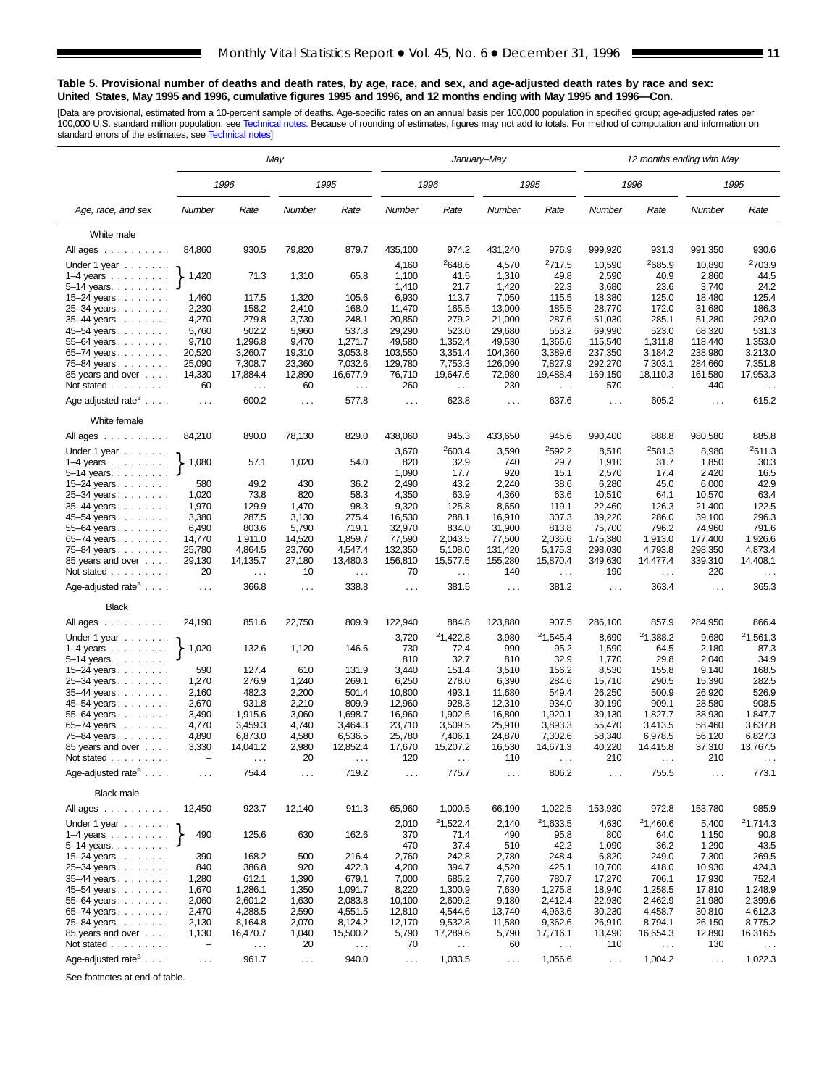#### **Table 5. Provisional number of deaths and death rates, by age, race, and sex, and age-adjusted death rates by race and sex: United States, May 1995 and 1996, cumulative figures 1995 and 1996, and 12 months ending with May 1995 and 1996—Con.**

[Data are provisional, estimated from a 10-percent sample of deaths. Age-specific rates on an annual basis per 100,000 population in specified group; age-adjusted rates per<br>100,000 U.S. standard million population; see Tec

|                                           | May               |               |               |               |                                | January–May   |                               | 12 months ending with May |                      |                      |                  |                    |
|-------------------------------------------|-------------------|---------------|---------------|---------------|--------------------------------|---------------|-------------------------------|---------------------------|----------------------|----------------------|------------------|--------------------|
|                                           |                   | 1996          |               | 1995          |                                | 1996          |                               | 1995                      |                      | 1996                 |                  | 1995               |
| Age, race, and sex                        | Number            | Rate          | Number        | Rate          | Number                         | Rate          | Number                        | Rate                      | Number               | Rate                 | Number           | Rate               |
| White male                                |                   |               |               |               |                                |               |                               |                           |                      |                      |                  |                    |
| All ages                                  | 84,860            | 930.5         | 79,820        | 879.7         | 435,100                        | 974.2         | 431,240                       | 976.9                     | 999,920              | 931.3                | 991,350          | 930.6              |
| Under 1 year                              |                   |               |               |               | 4,160                          | 2648.6        | 4,570                         | 2717.5                    | 10,590               | <sup>2</sup> 685.9   | 10,890           | 2703.9             |
| 1–4 years $\ldots \ldots$                 | 1,420             | 71.3          | 1,310         | 65.8          | 1,100                          | 41.5          | 1,310                         | 49.8                      | 2,590                | 40.9                 | 2,860            | 44.5               |
| 5–14 years                                |                   |               |               |               | 1,410                          | 21.7          | 1,420                         | 22.3                      | 3,680                | 23.6                 | 3,740            | 24.2               |
| $15 - 24$ years                           | 1,460             | 117.5         | 1,320         | 105.6         | 6,930                          | 113.7         | 7,050                         | 115.5                     | 18,380               | 125.0                | 18,480           | 125.4              |
| 25–34 years                               | 2,230             | 158.2         | 2,410         | 168.0         | 11,470                         | 165.5         | 13,000                        | 185.5                     | 28,770               | 172.0                | 31,680           | 186.3              |
| 35–44 years                               | 4,270             | 279.8         | 3,730         | 248.1         | 20,850                         | 279.2         | 21,000                        | 287.6                     | 51,030               | 285.1                | 51,280           | 292.0              |
| 45–54 years                               | 5,760             | 502.2         | 5,960         | 537.8         | 29,290                         | 523.0         | 29,680                        | 553.2                     | 69,990               | 523.0                | 68,320           | 531.3              |
| 55–64 years                               | 9,710             | 1,296.8       | 9,470         | 1,271.7       | 49,580                         | 1,352.4       | 49,530                        | 1,366.6                   | 115,540              | 1,311.8              | 118,440          | 1,353.0            |
| 65–74 years                               | 20,520            | 3,260.7       | 19,310        | 3,053.8       | 103,550                        | 3,351.4       | 104,360                       | 3,389.6                   | 237,350              | 3,184.2              | 238,980          | 3,213.0            |
| 75-84 years                               | 25,090            | 7,308.7       | 23,360        | 7,032.6       | 129,780<br>7,753.3             |               | 126,090<br>7,827.9<br>292,270 |                           | 7,303.1              | 284,660              | 7,351.8          |                    |
| 85 years and over                         | 14,330            | 17,884.4      | 12,890        | 16,677.9      | 76,710<br>19,647.6             |               | 72,980                        | 19,488.4                  | 169,150              | 18,110.3             | 161,580          | 17,953.3           |
| Not stated $\ldots$                       | 60                | $\sim$ $\sim$ | 60            | $\ddotsc$     | 260<br>$\sim$ $\sim$           |               | 230                           | $\sim$ $\sim$             | 570                  | $\sim$ .             | 440              | $\sim$ $\sim$      |
| Age-adjusted rate <sup>3</sup>            | $\sim$ $\sim$     | 600.2         | $\sim$ $\sim$ | 577.8         | $\sim$ $\sim$                  | 623.8         | $\cdots$                      | 637.6                     | $\sim$ .             | 605.2                | $\ldots$         | 615.2              |
| White female                              |                   |               |               |               |                                |               |                               |                           |                      |                      |                  |                    |
| All ages                                  | 84,210            | 890.0         | 78,130        | 829.0         | 438,060                        | 945.3         | 433,650                       | 945.6                     | 990,400<br>888.8     |                      | 980,580          | 885.8              |
| Under 1 year                              |                   |               |               |               | 2603.4<br>3,670<br>820<br>32.9 |               | <sup>2</sup> 592.2<br>3,590   |                           | 8,510                | 2581.3               | 8,980            | <sup>2</sup> 611.3 |
| $1-4$ years                               | 1,080             | 57.1          | 1,020         | 54.0          | 1,090<br>17.7                  |               | 740<br>29.7<br>920            |                           | 1,910                | 31.7                 | 1,850            | 30.3               |
| 5–14 years. $\ldots$                      |                   |               |               |               |                                |               |                               | 15.1                      | 2,570                | 17.4                 | 2,420            | 16.5               |
| 15–24 years                               | 580               | 49.2          | 430           | 36.2          | 2,490                          | 43.2          | 2,240                         | 38.6                      | 6,280                | 45.0                 | 6,000            | 42.9               |
| 25-34 years<br>35–44 years                | 1,020<br>1,970    | 73.8<br>129.9 | 820<br>1,470  | 58.3<br>98.3  | 4,350<br>9,320                 | 63.9<br>125.8 | 4,360<br>8,650                | 63.6<br>119.1             | 10,510<br>22,460     | 64.1<br>126.3        | 10,570<br>21,400 | 63.4<br>122.5      |
| 45–54 years                               | 3,380             | 287.5         | 3,130         | 275.4         | 16,530                         | 288.1         | 16,910                        | 307.3                     | 39,220               | 286.0                | 39,100           | 296.3              |
| 55-64 years                               | 6,490             | 803.6         | 5,790         | 719.1         | 32,970                         | 834.0         | 31,900                        | 813.8                     | 75,700               | 796.2                | 74,960           | 791.6              |
| 65–74 years                               | 14,770            | 1,911.0       | 14,520        | 1,859.7       | 77,590                         | 2,043.5       | 77,500                        | 2,036.6                   | 175,380              | 1,913.0              | 177.400          | 1,926.6            |
| 75–84 years                               | 25,780            | 4,864.5       | 23,760        | 4,547.4       | 132,350                        | 5,108.0       | 131,420                       | 5,175.3                   | 298,030              | 4,793.8              | 298,350          | 4,873.4            |
| 85 years and over                         | 29,130            | 14,135.7      | 27,180        | 13,480.3      | 156,810                        | 15,577.5      | 155,280                       | 15,870.4                  | 349,630              | 14,477.4             | 339,310          | 14,408.1           |
| Not stated                                | 20                | $\sim$ .      | 10            | $\ldots$      | 70                             | $\sim$ .      | 140                           | $\sim$ .                  | 190                  | $\ldots$             | 220              | $\sim$ $\sim$      |
| Age-adjusted rate <sup>3</sup>            | $\sim$ .          | 366.8         | $\ldots$      | 338.8         | $\cdots$                       | 381.5         | $\cdots$                      | 381.2                     | $\ldots$             | 363.4                | .                | 365.3              |
| <b>Black</b>                              |                   |               |               |               |                                |               |                               |                           |                      |                      |                  |                    |
| All ages                                  | 24,190            | 851.6         | 22,750        | 809.9         | 122,940                        | 884.8         | 123,880                       | 907.5                     | 286,100              | 857.9                | 284,950          | 866.4              |
|                                           |                   |               |               |               | 3,720                          | 21,422.8      | 3,980                         | 21,545.4                  | 8,690                | <sup>2</sup> 1,388.2 | 9,680            | 21,561.3           |
| Under 1 year                              | 1,020             | 132.6         | 1,120         | 146.6         | 730                            | 72.4          | 990                           | 95.2                      | 1,590                | 64.5                 | 2,180            | 87.3               |
| 1–4 years $\ldots$<br>5-14 years.         |                   |               |               |               | 810                            | 32.7          | 810                           | 32.9                      | 1,770                | 29.8                 | 2,040            | 34.9               |
| $15 - 24$ years                           | 590               | 127.4         | 610           | 131.9         | 3,440                          | 151.4         | 3,510                         | 156.2                     | 8,530                | 155.8                | 9,140            | 168.5              |
| 25–34 years                               | 1,270             | 276.9         | 1,240         | 269.1         | 6,250                          | 278.0         | 6,390                         | 284.6                     | 15,710               | 290.5                | 15,390           | 282.5              |
| 35-44 years                               | 2,160             | 482.3         | 2,200         | 501.4         | 10,800                         | 493.1         | 11,680                        | 549.4                     | 26,250               | 500.9                | 26,920           | 526.9              |
| 45-54 years                               | 2,670             | 931.8         | 2,210         | 809.9         | 12,960                         | 928.3         | 12,310                        | 934.0                     | 30,190               | 909.1                | 28,580           | 908.5              |
| 55-64 years                               | 3,490             | 1,915.6       | 3,060         | 1,698.7       | 16,960                         | 1,902.6       | 16,800                        | 1,920.1                   | 39,130               | 1,827.7              | 38,930           | 1,847.7            |
| 65-74 years                               | 4,770             | 3,459.3       | 4,740         | 3,464.3       | 23,710                         | 3,509.5       | 25,910                        | 3,893.3                   | 55,470               | 3,413.5              | 58,460           | 3,637.8            |
| 75–84 years                               | 4,890             | 6,873.0       | 4,580         | 6,536.5       | 25,780                         | 7.406.1       | 24,870                        | 7,302.6                   | 58,340               | 6,978.5              | 56,120           | 6,827.3            |
| 85 years and over                         | 3,330             | 14,041.2      | 2,980         | 12,852.4      | 17,670                         | 15,207.2      | 16,530                        | 14,671.3                  | 40,220               | 14,415.8             | 37,310           | 13,767.5           |
| Not stated $\ldots$                       |                   |               | 20            |               | 120                            |               | 110                           |                           | 210                  |                      | 210              |                    |
| Age-adjusted rate <sup>3</sup> $\ldots$ . | $\ldots$ .        | 754.4         | $\cdots$      | 719.2         | $\ldots$                       | 775.7         | $\sim$ $\sim$                 | 806.2                     | $\sim$ $\sim$ $\sim$ | 755.5                | .                | 773.1              |
| Black male                                |                   |               |               |               |                                |               |                               |                           |                      |                      |                  |                    |
| All ages                                  | 12,450            | 923.7         | 12,140        | 911.3         | 65,960                         | 1,000.5       | 66,190                        | 1,022.5                   | 153,930              | 972.8                | 153,780          | 985.9              |
| Under 1 year $\ldots \ldots$              |                   |               |               |               | 2,010                          | 21,522.4      | 2,140                         | 21,633.5                  | 4,630                | 21,460.6             | 5,400            | 21,714.3           |
| $1-4$ years $\ldots$                      | 490               | 125.6         | 630           | 162.6         | 370                            | 71.4          | 490                           | 95.8                      | 800                  | 64.0                 | 1,150            | 90.8               |
| 5-14 years.                               |                   |               |               |               | 470                            | 37.4          | 510                           | 42.2                      | 1,090                | 36.2                 | 1,290            | 43.5               |
| 15-24 years                               | 390               | 168.2         | 500           | 216.4         | 2,760                          | 242.8         | 2,780                         | 248.4                     | 6,820                | 249.0                | 7,300            | 269.5              |
| 25–34 years                               | 840               | 386.8         | 920           | 422.3         | 4,200                          | 394.7         | 4,520                         | 425.1                     | 10,700               | 418.0                | 10,930           | 424.3              |
| 35–44 years                               | 1,280             | 612.1         | 1,390         | 679.1         | 7,000                          | 685.2         | 7,760                         | 780.7                     | 17,270               | 706.1                | 17,930           | 752.4              |
| 45-54 years                               | 1,670             | 1,286.1       | 1,350         | 1,091.7       | 8,220                          | 1,300.9       | 7,630                         | 1,275.8                   | 18,940               | 1,258.5              | 17,810           | 1,248.9            |
| 55–64 years                               | 2,060             | 2,601.2       | 1,630         | 2,083.8       | 10,100                         | 2,609.2       | 9,180                         | 2,412.4                   | 22,930               | 2,462.9              | 21,980           | 2,399.6            |
| 65–74 years                               | 2,470             | 4,288.5       | 2,590         | 4,551.5       | 12,810                         | 4,544.6       | 13,740                        | 4,963.6                   | 30,230               | 4,458.7              | 30,810           | 4,612.3            |
| 75-84 years                               | 2,130             | 8,164.8       | 2,070         | 8,124.2       | 12,170                         | 9,532.8       | 11,580                        | 9,362.6                   | 26,910               | 8,794.1              | 26,150           | 8,775.2            |
| 85 years and over                         | 1,130             | 16,470.7      | 1,040         | 15,500.2      | 5,790                          | 17,289.6      | 5,790                         | 17,716.1                  | 13,490               | 16,654.3             | 12,890           | 16,316.5           |
| Not stated                                | $\qquad \qquad -$ | $\sim$ $\sim$ | 20            | $\sim$ $\sim$ | 70                             | $\sim$ $\sim$ | 60                            | $\sim$ .                  | 110                  | $\sim$ $\sim$        | 130              | $\sim$ $\sim$      |
| Age-adjusted rate $3 \ldots$ .            | $\sim$            | 961.7         | $\sim$ $\sim$ | 940.0         | $\sim$ $\sim$                  | 1,033.5       | $\sim$ $\sim$                 | 1,056.6                   | $\ldots$             | 1,004.2              | $\sim$ $\sim$    | 1,022.3            |

See footnotes at end of table.

 $\overline{\phantom{a}}$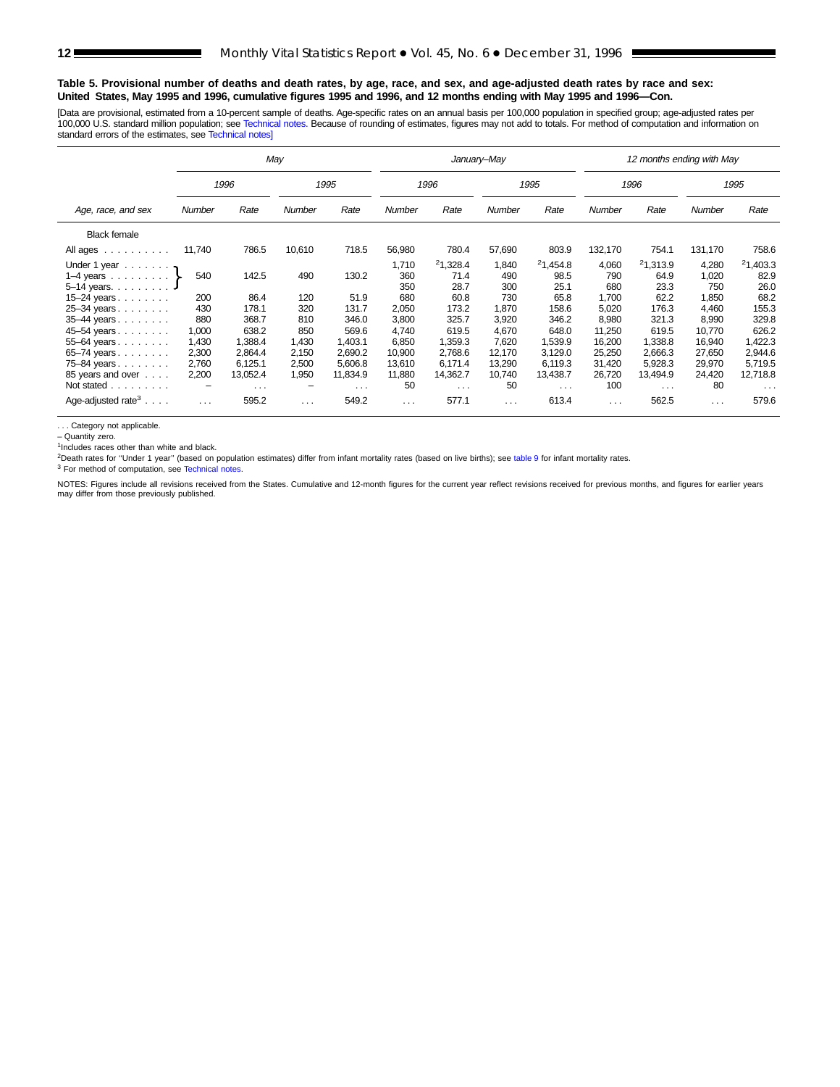#### **Table 5. Provisional number of deaths and death rates, by age, race, and sex, and age-adjusted death rates by race and sex: United States, May 1995 and 1996, cumulative figures 1995 and 1996, and 12 months ending with May 1995 and 1996—Con.**

[Data are provisional, estimated from a 10-percent sample of deaths. Age-specific rates on an annual basis per 100,000 population in specified group; age-adjusted rates per 100,000 U.S. standard million population; see [Technical notes.](#page-16-0) Because of rounding of estimates, figures may not add to totals. For method of computation and information on standard errors of the estimates, see [Technical notes\]](#page-16-0)

|                                           |          |          | May      |                      |                      |          | January-May |                      | 12 months ending with May |               |          |          |  |  |
|-------------------------------------------|----------|----------|----------|----------------------|----------------------|----------|-------------|----------------------|---------------------------|---------------|----------|----------|--|--|
|                                           |          | 1996     |          | 1995                 |                      | 1996     |             | 1995                 |                           | 1996          |          | 1995     |  |  |
| Age, race, and sex                        | Number   | Rate     | Number   | Rate                 | Number               | Rate     | Number      | Rate                 | Number                    | Rate          | Number   | Rate     |  |  |
| <b>Black female</b>                       |          |          |          |                      |                      |          |             |                      |                           |               |          |          |  |  |
| All ages                                  | 11,740   | 786.5    | 10,610   | 718.5                | 56,980               | 780.4    | 57,690      | 803.9                | 132,170                   | 754.1         | 131,170  | 758.6    |  |  |
| Under 1 year $\ldots$ ,                   |          |          |          |                      | 1,710                | 21,328.4 | 1,840       | 21,454.8             | 4,060                     | 21,313.9      | 4,280    | 21,403.3 |  |  |
| 1–4 years $\ldots \ldots$                 | 540      | 142.5    | 490      | 130.2                | 360                  | 71.4     | 490         | 98.5                 | 790                       | 64.9          | 1,020    | 82.9     |  |  |
| $5-14$ years. $\ldots$                    |          |          |          |                      | 350                  | 28.7     | 300         | 25.1                 | 680                       | 23.3          | 750      | 26.0     |  |  |
| 15-24 years                               | 200      | 86.4     | 120      | 51.9                 | 680                  | 60.8     | 730         | 65.8                 | 1,700                     | 62.2          | 1,850    | 68.2     |  |  |
| 25-34 years                               | 430      | 178.1    | 320      | 131.7                | 2,050                | 173.2    | 1,870       | 158.6                | 5,020                     | 176.3         | 4.460    | 155.3    |  |  |
| 35-44 years                               | 880      | 368.7    | 810      | 346.0                | 3,800                | 325.7    | 3,920       | 346.2                | 8,980                     | 321.3         | 8,990    | 329.8    |  |  |
| 45-54 years                               | 1,000    | 638.2    | 850      | 569.6                | 4,740                | 619.5    | 4,670       | 648.0                | 11,250                    | 619.5         | 10,770   | 626.2    |  |  |
| 55-64 years                               | 1,430    | 1,388.4  | 1,430    | 1,403.1              | 6,850                | 1,359.3  | 7,620       | 1,539.9              | 16,200                    | 1,338.8       | 16,940   | 1,422.3  |  |  |
| 65-74 years                               | 2,300    | 2,864.4  | 2,150    | 2,690.2              | 10,900               | 2,768.6  | 12.170      | 3,129.0              | 25,250                    | 2,666.3       | 27,650   | 2,944.6  |  |  |
| 75-84 years                               | 2,760    | 6,125.1  | 2,500    | 5,606.8              | 13,610               | 6,171.4  | 13,290      | 6,119.3              | 31,420                    | 5,928.3       | 29,970   | 5,719.5  |  |  |
| 85 years and over                         | 2,200    | 13,052.4 | 1,950    | 11,834.9             | 11,880               | 14,362.7 | 10,740      | 13,438.7             | 26,720                    | 13,494.9      | 24,420   | 12,718.8 |  |  |
| Not stated                                | -        | $\cdots$ | -        | $\sim$ $\sim$ $\sim$ | 50                   | $\cdots$ | 50          | $\sim$ $\sim$ $\sim$ | 100                       | $\sim$ $\sim$ | 80       | $\cdots$ |  |  |
| Age-adjusted rate <sup>3</sup> $\ldots$ . | $\cdots$ | 595.2    | $\cdots$ | 549.2                | $\sim$ $\sim$ $\sim$ | 577.1    | $\cdots$    | 613.4                | $\cdots$                  | 562.5         | $\cdots$ | 579.6    |  |  |

. . . Category not applicable.

– Quantity zero.

 $1$ Includes races other than white and black.

<sup>2</sup>Death rates for "Under 1 year" (based on population estimates) differ from infant mortality rates (based on live births); see [table 9](#page-15-0) for infant mortality rates.

<sup>3</sup> For method of computation, see [Technical notes.](#page-16-0)

NOTES: Figures include all revisions received from the States. Cumulative and 12-month figures for the current year reflect revisions received for previous months, and figures for earlier years may differ from those previously published.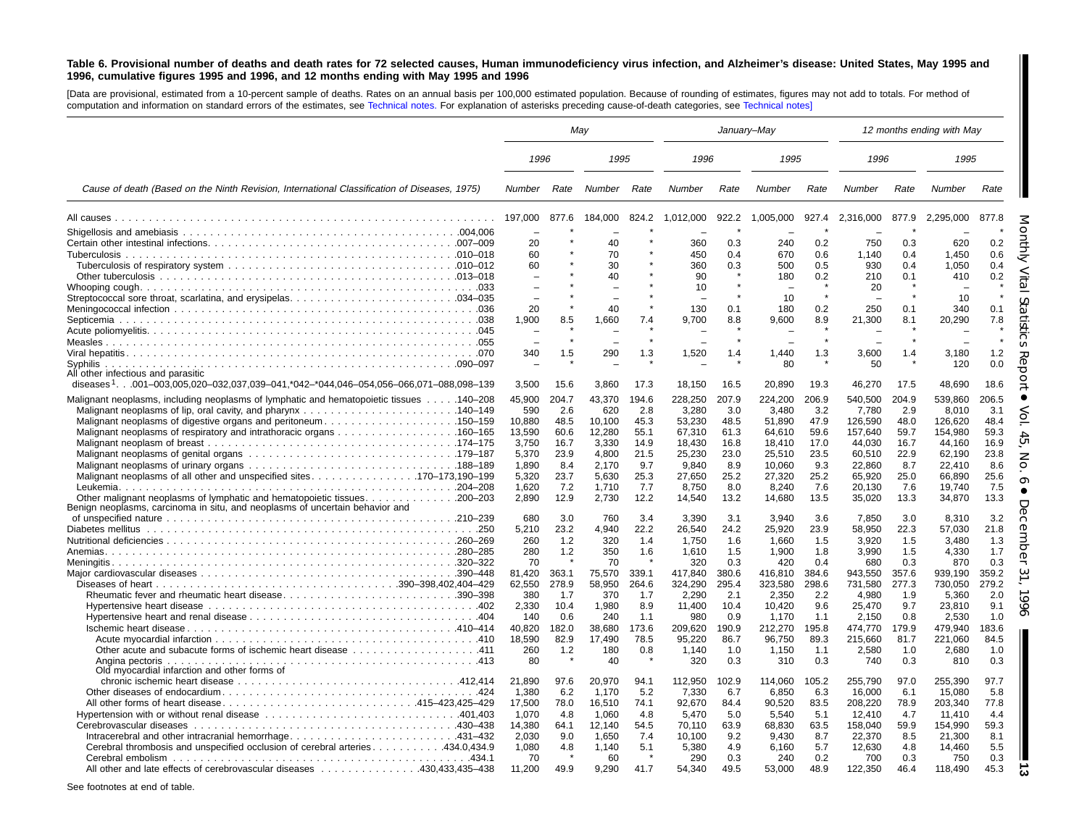#### <span id="page-12-0"></span>Table 6. Provisional number of deaths and death rates for 72 selected causes, Human immunodeficiency virus infection, and Alzheimer's disease: United States, May 1995 and 1996, cumulative figures 1995 and 1996, and 12 months ending with May 1995 and 1996

[Data are provisional, estimated from <sup>a</sup> 10-percent sample of deaths. Rates on an annual basis per 100,000 estimated population. Because of rounding of estimates, figures may not add to totals. For method of computation and information on standard errors of the estimates, see [Technical](#page-16-1) notes. For explanation of asterisks preceding cause-of-death categories, see [Technical](#page-16-1) notes]

|                                                                                                 |        | May   |             | January-May |           |         |           |       |           | 12 months ending with May |           |       |
|-------------------------------------------------------------------------------------------------|--------|-------|-------------|-------------|-----------|---------|-----------|-------|-----------|---------------------------|-----------|-------|
|                                                                                                 | 1996   |       | 1995        |             | 1996      |         | 1995      |       | 1996      |                           | 1995      |       |
| Cause of death (Based on the Ninth Revision, International Classification of Diseases, 1975)    | Number | Rate  | Number Rate |             | Number    | Rate    | Number    | Rate  | Number    | Rate                      | Number    | Rate  |
|                                                                                                 |        | 877.6 | 184,000     | 824.2       | 1,012,000 | 922.2   | 1,005,000 | 927.4 | 2,316,000 | 877.9                     | 2,295,000 | 877.8 |
|                                                                                                 |        |       |             |             |           |         |           |       |           |                           |           |       |
|                                                                                                 | 20     |       | 40          |             | 360       | 0.3     | 240       | 0.2   | 750       | 0.3                       | 620       | 0.2   |
|                                                                                                 | 60     |       | 70          |             | 450       | 0.4     | 670       | 0.6   | 1,140     | 0.4                       | 1,450     | 0.6   |
|                                                                                                 | 60     |       | 30          |             | 360       | 0.3     | 500       | 0.5   | 930       | 0.4                       | 1,050     | 0.4   |
|                                                                                                 |        |       | 40          |             | 90        |         | 180       | 0.2   | 210       | 0.1                       | 410       | 0.2   |
|                                                                                                 |        |       |             |             | 10        |         |           |       | 20        |                           |           |       |
|                                                                                                 | ÷      |       |             |             |           |         | 10        |       |           |                           | 10        |       |
|                                                                                                 | 20     |       | 40          |             | 130       | 0.1     | 180       | 0.2   | 250       | 0.1                       | 340       | 0.1   |
|                                                                                                 | 1,900  | 8.5   | 1,660       | 7.4         | 9,700     | 8.8     | 9,600     | 8.9   | 21,300    | 8.1                       | 20,290    | 7.8   |
|                                                                                                 |        |       |             |             |           |         |           |       |           |                           |           |       |
|                                                                                                 |        |       |             |             |           | $\star$ |           |       |           | $\star$                   |           |       |
|                                                                                                 | 340    | 1.5   | 290         | 1.3         | 1,520     | 1.4     | 1,440     | 1.3   | 3,600     | 1.4                       | 3,180     | 1.2   |
|                                                                                                 |        |       |             |             |           |         | 80        |       | 50        |                           | 120       | 0.0   |
| All other infectious and parasitic                                                              |        |       |             |             |           |         |           |       |           |                           |           |       |
| diseases <sup>1</sup> 001-003,005,020-032,037,039-041,*042-*044,046-054,056-066,071-088,098-139 | 3,500  | 15.6  | 3,860       | 17.3        | 18,150    | 16.5    | 20,890    | 19.3  | 46,270    | 17.5                      | 48,690    | 18.6  |
| Malignant neoplasms, including neoplasms of lymphatic and hematopoietic tissues 140–208         | 45,900 | 204.7 | 43,370      | 194.6       | 228,250   | 207.9   | 224,200   | 206.9 | 540,500   | 204.9                     | 539,860   | 206.5 |
|                                                                                                 | 590    | 2.6   | 620         | 2.8         | 3,280     | 3.0     | 3,480     | 3.2   | 7,780     | 2.9                       | 8,010     | 3.1   |
| Malignant neoplasms of digestive organs and peritoneum150–159                                   | 10.880 | 48.5  | 10.100      | 45.3        | 53,230    | 48.5    | 51,890    | 47.9  | 126,590   | 48.0                      | 126,620   | 48.4  |
|                                                                                                 | 13,590 | 60.6  | 12,280      | 55.1        | 67,310    | 61.3    | 64,610    | 59.6  | 157,640   | 59.7                      | 154,980   | 59.3  |
|                                                                                                 | 3,750  | 16.7  | 3,330       | 14.9        | 18,430    | 16.8    | 18,410    | 17.0  | 44,030    | 16.7                      | 44,160    | 16.9  |
|                                                                                                 | 5,370  | 23.9  | 4,800       | 21.5        | 25,230    | 23.0    | 25,510    | 23.5  | 60,510    | 22.9                      | 62,190    | 23.8  |
|                                                                                                 | 1.890  | 8.4   | 2.170       | 9.7         | 9,840     | 8.9     | 10.060    | 9.3   | 22,860    | 8.7                       | 22.410    | 8.6   |
|                                                                                                 | 5,320  | 23.7  | 5.630       | 25.3        | 27,650    | 25.2    | 27,320    | 25.2  | 65,920    | 25.0                      | 66,890    | 25.6  |
|                                                                                                 | 1,620  | 7.2   | 1,710       | 7.7         | 8,750     | 8.0     | 8,240     | 7.6   | 20,130    | 7.6                       | 19,740    | 7.5   |
|                                                                                                 | 2,890  | 12.9  | 2,730       | 12.2        | 14,540    | 13.2    | 14,680    | 13.5  | 35,020    | 13.3                      | 34,870    | 13.3  |
| Benign neoplasms, carcinoma in situ, and neoplasms of uncertain behavior and                    |        |       |             |             |           |         |           |       |           |                           |           |       |
|                                                                                                 | 680    | 3.0   | 760         | 3.4         | 3,390     | 3.1     | 3,940     | 3.6   | 7,850     | 3.0                       | 8,310     | 3.2   |
|                                                                                                 | 5,210  | 23.2  | 4,940       | 22.2        | 26,540    | 24.2    | 25,920    | 23.9  | 58,950    | 22.3                      | 57,030    | 21.8  |
|                                                                                                 | 260    | 1.2   | 320         | 1.4         | 1,750     | 1.6     | 1,660     | 1.5   | 3,920     | 1.5                       | 3,480     | 1.3   |
|                                                                                                 | 280    | 1.2   | 350         | 1.6         | 1,610     | 1.5     | 1,900     | 1.8   | 3,990     | 1.5                       | 4,330     | 1.7   |
|                                                                                                 | 70     |       | 70          |             | 320       | 0.3     | 420       | 0.4   | 680       | 0.3                       | 870       | 0.3   |
|                                                                                                 | 81,420 | 363.1 | 75,570      | 339.1       | 417,840   | 380.6   | 416,810   | 384.6 | 943,550   | 357.6                     | 939,190   | 359.2 |
|                                                                                                 | 62,550 | 278.9 | 58,950      | 264.6       | 324,290   | 295.4   | 323,580   | 298.6 | 731,580   | 277.3                     | 730,050   | 279.2 |
| Rheumatic fever and rheumatic heart disease390–398                                              | 380    | 1.7   | 370         | 1.7         | 2,290     | 2.1     | 2,350     | 2.2   | 4,980     | 1.9                       | 5,360     | 2.0   |
|                                                                                                 | 2,330  | 10.4  | 1,980       | 8.9         | 11,400    | 10.4    | 10,420    | 9.6   | 25,470    | 9.7                       | 23,810    | 9.1   |
|                                                                                                 | 140    | 0.6   | 240         | 1.1         | 980       | 0.9     | 1,170     | 1.1   | 2,150     | 0.8                       | 2,530     | 1.0   |
|                                                                                                 | 40,820 | 182.0 | 38,680      | 173.6       | 209,620   | 190.9   | 212,270   | 195.8 | 474,770   | 179.9                     | 479,940   | 183.6 |
|                                                                                                 | 18,590 | 82.9  | 17.490      | 78.5        | 95,220    | 86.7    | 96,750    | 89.3  | 215,660   | 81.7                      | 221,060   | 84.5  |
| 0ther acute and subacute forms of ischemic heart disease 411                                    | 260    | 1.2   | 180         | 0.8         | 1.140     | 1.0     | 1,150     | 1.1   | 2,580     | 1.0                       | 2,680     | 1.0   |
| Angina pectoris                                                                                 | 80     |       | 40          |             | 320       | 0.3     | 310       | 0.3   | 740       | 0.3                       | 810       | 0.3   |
| Old myocardial infarction and other forms of                                                    |        |       |             |             |           |         |           |       |           |                           |           |       |
|                                                                                                 | 21,890 | 97.6  | 20,970      | 94.1        | 112,950   | 102.9   | 114,060   | 105.2 | 255,790   | 97.0                      | 255,390   | 97.7  |
|                                                                                                 | 1,380  | 6.2   | 1,170       | 5.2         | 7,330     | 6.7     | 6,850     | 6.3   | 16,000    | 6.1                       | 15,080    | 5.8   |
| All other forms of heart disease415–423,425–429                                                 | 17,500 | 78.0  | 16,510      | 74.1        | 92,670    | 84.4    | 90,520    | 83.5  | 208,220   | 78.9                      | 203,340   | 77.8  |
|                                                                                                 | 1,070  | 4.8   | 1,060       | 4.8         | 5,470     | 5.0     | 5,540     | 5.1   | 12,410    | 4.7                       | 11,410    | 4.4   |
|                                                                                                 | 14,380 | 64.1  | 12,140      | 54.5        | 70,110    | 63.9    | 68,830    | 63.5  | 158,040   | 59.9                      | 154,990   | 59.3  |
|                                                                                                 | 2,030  | 9.0   | 1,650       | 7.4         | 10,100    | 9.2     | 9,430     | 8.7   | 22,370    | 8.5                       | 21,300    | 8.1   |
| Cerebral thrombosis and unspecified occlusion of cerebral arteries 434.0,434.9                  | 1,080  | 4.8   | 1,140       | 5.1         | 5,380     | 4.9     | 6,160     | 5.7   | 12,630    | 4.8                       | 14,460    | 5.5   |
|                                                                                                 | 70     |       | 60          |             | 290       | 0.3     | 240       | 0.2   | 700       | 0.3                       | 750       | 0.3   |
| All other and late effects of cerebrovascular diseases 430,433,435–438                          | 11,200 | 49.9  | 9,290       | 41.7        | 54,340    | 49.5    | 53,000    | 48.9  | 122,350   | 46.4                      | 118,490   | 45.3  |
|                                                                                                 |        |       |             |             |           |         |           |       |           |                           |           |       |

See footnotes at end of table.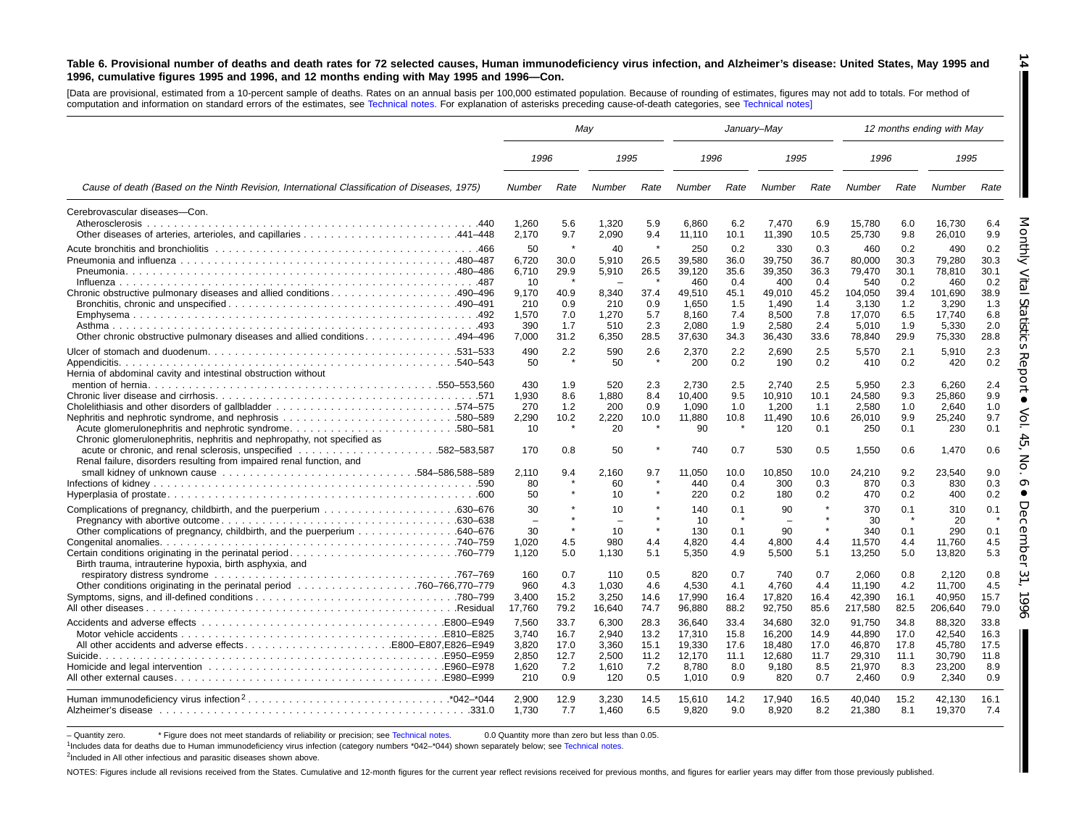#### Table 6. Provisional number of deaths and death rates for 72 selected causes, Human immunodeficiency virus infection, and Alzheimer's disease: United States, May 1995 and 1996, cumulative figures 1995 and 1996, and 12 months ending with May 1995 and 1996-Con.

[Data are provisional, estimated from <sup>a</sup> 10-percent sample of deaths. Rates on an annual basis per 100,000 estimated population. Because of rounding of estimates, figures may not add to totals. For method of computation and information on standard errors of the estimates, see [Technical](#page-16-1) notes. For explanation of asterisks preceding cause-of-death categories, see [Technical](#page-16-1) notes]

|                                                                                                                                   | May                      |             |                          |              |                 | January-May |                 |             |                  |             | 12 months ending with May |             |
|-----------------------------------------------------------------------------------------------------------------------------------|--------------------------|-------------|--------------------------|--------------|-----------------|-------------|-----------------|-------------|------------------|-------------|---------------------------|-------------|
|                                                                                                                                   | 1996                     |             | 1995                     |              | 1996            |             | 1995            |             | 1996             |             | 1995                      |             |
| Cause of death (Based on the Ninth Revision, International Classification of Diseases, 1975)                                      | Number                   | Rate        | Number                   | Rate         | Number          | Rate        | Number          | Rate        | Number           | Rate        | Number                    | Rate        |
| Cerebrovascular diseases-Con.                                                                                                     |                          |             |                          |              |                 |             |                 |             |                  |             |                           |             |
| Atherosclerosis                                                                                                                   | 1.260<br>2,170           | 5.6<br>9.7  | 1,320<br>2,090           | 5.9<br>9.4   | 6.860<br>11,110 | 6.2<br>10.1 | 7.470<br>11,390 | 6.9<br>10.5 | 15.780<br>25,730 | 6.0<br>9.8  | 16.730<br>26,010          | 6.4<br>9.9  |
|                                                                                                                                   | 50                       | $\star$     | 40                       | $\star$      | 250             | 0.2         | 330             | 0.3         | 460              | 0.2         | 490                       | 0.2         |
|                                                                                                                                   | 6.720                    | 30.0        | 5,910                    | 26.5         | 39,580          | 36.0        | 39,750          | 36.7        | 80,000           | 30.3        | 79.280                    | 30.3        |
|                                                                                                                                   | 6,710                    | 29.9        | 5,910                    | 26.5         | 39,120          | 35.6        | 39,350          | 36.3        | 79,470           | 30.1        | 78,810                    | 30.1        |
|                                                                                                                                   | 10                       |             |                          |              | 460             | 0.4         | 400             | 0.4         | 540              | 0.2         | 460                       | 0.2         |
| Chronic obstructive pulmonary diseases and allied conditions490-496                                                               | 9,170                    | 40.9        | 8,340                    | 37.4         | 49,510          | 45.1        | 49,010          | 45.2        | 104,050          | 39.4        | 101,690                   | 38.9        |
|                                                                                                                                   | 210<br>1,570             | 0.9<br>7.0  | 210<br>1,270             | 0.9<br>5.7   | 1.650<br>8,160  | 1.5<br>7.4  | 1.490<br>8,500  | 1.4<br>7.8  | 3.130<br>17,070  | 1.2<br>6.5  | 3.290<br>17,740           | 1.3<br>6.8  |
|                                                                                                                                   | 390                      | 1.7         | 510                      | 2.3          | 2.080           | 1.9         | 2.580           | 2.4         | 5.010            | 1.9         | 5.330                     | 2.0         |
| 0ther chronic obstructive pulmonary diseases and allied conditions494–496                                                         | 7,000                    | 31.2        | 6,350                    | 28.5         | 37,630          | 34.3        | 36,430          | 33.6        | 78,840           | 29.9        | 75,330                    | 28.8        |
|                                                                                                                                   | 490                      | 2.2         | 590                      | 2.6          | 2,370           | 2.2         | 2.690           | 2.5         | 5.570            | 2.1         | 5.910                     | 2.3         |
|                                                                                                                                   | 50                       |             | 50                       |              | 200             | 0.2         | 190             | 0.2         | 410              | 0.2         | 420                       | 0.2         |
| Hernia of abdominal cavity and intestinal obstruction without                                                                     |                          |             |                          |              |                 |             |                 |             |                  |             |                           |             |
|                                                                                                                                   | 430                      | 1.9         | 520                      | 2.3          | 2.730           | 2.5         | 2.740           | 2.5         | 5,950            | 2.3         | 6.260                     | 2.4         |
|                                                                                                                                   | 1,930                    | 8.6         | 1.880                    | 8.4          | 10.400          | 9.5         | 10,910          | 10.1        | 24,580           | 9.3         | 25.860                    | 9.9         |
|                                                                                                                                   | 270                      | 1.2         | 200                      | 0.9          | 1.090           | 1.0         | 1,200           | 1.1         | 2,580            | 1.0         | 2.640                     | 1.0         |
|                                                                                                                                   | 2.290                    | 10.2        | 2.220                    | 10.0         | 11.880          | 10.8        | 11,490          | 10.6        | 26,010           | 9.9         | 25.240                    | 9.7         |
| Acute glomerulonephritis and nephrotic syndrome580–581<br>Chronic glomerulonephritis, nephritis and nephropathy, not specified as | 10                       | $\star$     | 20                       | $\pmb{\ast}$ | 90              |             | 120             | 0.1         | 250              | 0.1         | 230                       | 0.1         |
| Renal failure, disorders resulting from impaired renal function, and                                                              | 170                      | 0.8         | 50                       |              | 740             | 0.7         | 530             | 0.5         | 1,550            | 0.6         | 1,470                     | 0.6         |
|                                                                                                                                   | 2.110                    | 9.4         | 2,160                    | 9.7          | 11.050          | 10.0        | 10,850          | 10.0        | 24,210           | 9.2         | 23,540                    | 9.0         |
|                                                                                                                                   | 80                       |             | 60                       |              | 440             | 0.4         | 300             | 0.3         | 870              | 0.3<br>0.2  | 830                       | 0.3         |
|                                                                                                                                   | 50                       |             | 10                       |              | 220             | 0.2         | 180             | 0.2         | 470              |             | 400                       | 0.2         |
|                                                                                                                                   | 30                       |             | 10                       | $\star$      | 140             | 0.1         | 90              |             | 370              | 0.1         | 310                       | 0.1         |
|                                                                                                                                   | $\overline{\phantom{0}}$ |             | $\overline{\phantom{0}}$ | $\pmb{\ast}$ | 10              |             |                 |             | 30               |             | 20                        |             |
| Other complications of pregnancy, childbirth, and the puerperium 640–676                                                          | 30<br>1,020              | 4.5         | 10<br>980                | 4.4          | 130<br>4,820    | 0.1<br>4.4  | 90<br>4.800     | 4.4         | 340<br>11,570    | 0.1<br>4.4  | 290<br>11.760             | 0.1<br>4.5  |
|                                                                                                                                   | 1,120                    | 5.0         | 1,130                    | 5.1          | 5,350           | 4.9         | 5,500           | 5.1         | 13,250           | 5.0         | 13,820                    | 5.3         |
| Birth trauma, intrauterine hypoxia, birth asphyxia, and                                                                           |                          |             |                          |              |                 |             |                 |             |                  |             |                           |             |
|                                                                                                                                   | 160                      | 0.7         | 110                      | 0.5          | 820             | 0.7         | 740             | 0.7         | 2,060            | 0.8         | 2,120                     | 0.8         |
|                                                                                                                                   | 960                      | 4.3         | 1.030                    | 4.6          | 4.530           | 4.1         | 4.760           | 4.4         | 11.190           | 4.2         | 11,700                    | 4.5         |
|                                                                                                                                   | 3,400                    | 15.2        | 3,250                    | 14.6         | 17,990          | 16.4        | 17,820          | 16.4        | 42,390           | 16.1        | 40,950                    | 15.7        |
|                                                                                                                                   | 17,760                   | 79.2        | 16,640                   | 74.7         | 96,880          | 88.2        | 92,750          | 85.6        | 217,580          | 82.5        | 206,640                   | 79.0        |
|                                                                                                                                   | 7,560                    | 33.7        | 6,300                    | 28.3         | 36,640          | 33.4        | 34,680          | 32.0        | 91,750           | 34.8        | 88,320                    | 33.8        |
|                                                                                                                                   | 3.740                    | 16.7        | 2.940                    | 13.2         | 17.310          | 15.8        | 16.200          | 14.9        | 44.890           | 17.0        | 42.540                    | 16.3        |
|                                                                                                                                   | 3,820                    | 17.0        | 3,360                    | 15.1         | 19,330          | 17.6        | 18,480          | 17.0        | 46,870           | 17.8        | 45,780                    | 17.5        |
|                                                                                                                                   | 2.850                    | 12.7        | 2.500                    | 11.2         | 12.170          | 11.1        | 12.680          | 11.7        | 29,310           | 11.1        | 30.790                    | 11.8        |
|                                                                                                                                   | 1,620                    | 7.2         | 1,610                    | 7.2          | 8,780           | 8.0         | 9,180           | 8.5         | 21,970           | 8.3         | 23,200                    | 8.9         |
|                                                                                                                                   | 210                      | 0.9         | 120                      | 0.5          | 1,010           | 0.9         | 820             | 0.7         | 2,460            | 0.9         | 2,340                     | 0.9         |
|                                                                                                                                   | 2.900<br>1.730           | 12.9<br>7.7 | 3.230<br>1.460           | 14.5<br>6.5  | 15.610<br>9,820 | 14.2<br>9.0 | 17.940<br>8.920 | 16.5<br>8.2 | 40.040<br>21,380 | 15.2<br>8.1 | 42.130<br>19,370          | 16.1<br>7.4 |

- Quantity zero. \* Figure does not meet standards of reliability or precision; see [Technical](#page-16-1) notes. 0.0 Quantity more than zero but less than 0.05.

1Includes data for deaths due to Human immunodeficiency virus infection (category numbers \*042–\*044) shown separately below; see [Technical](#page-16-1) notes.

<sup>2</sup>Included in All other infectious and parasitic diseases shown above.

NOTES: Figures include all revisions received from the States. Cumulative and 12-month figures for the current year reflect revisions received for previous months, and figures for earlier years may differ from those previo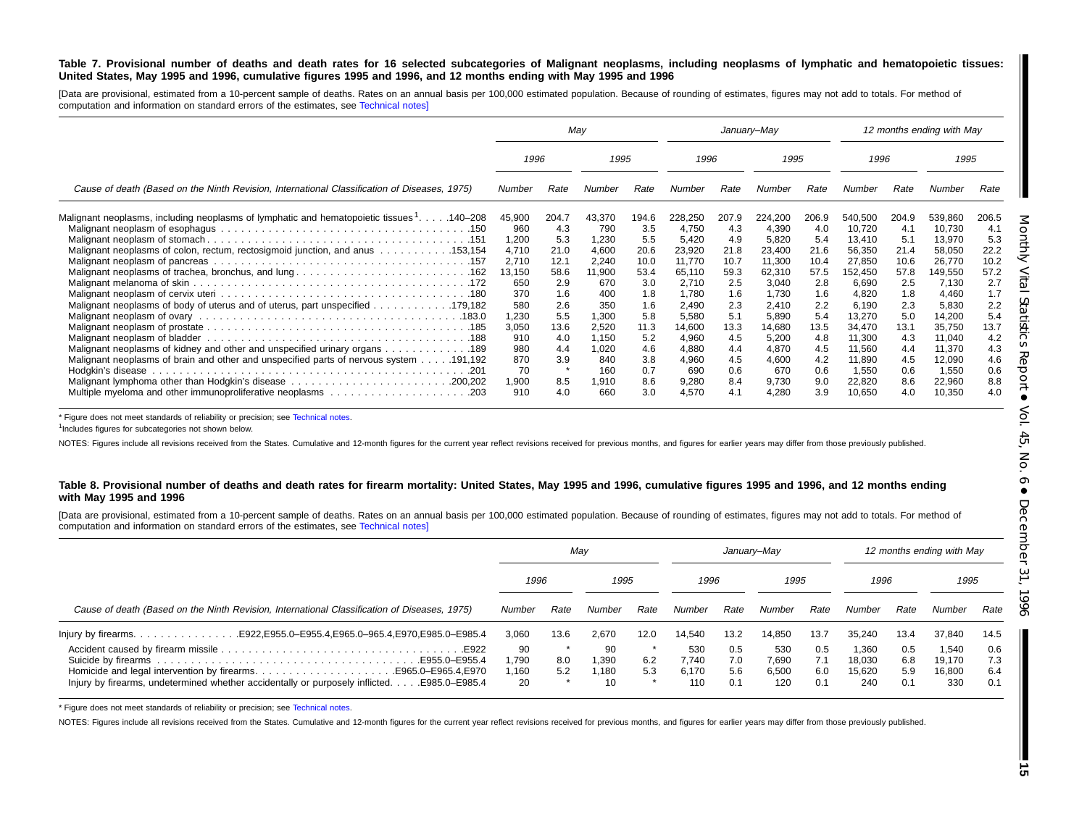#### Table 7. Provisional number of deaths and death rates for 16 selected subcategories of Malignant neoplasms, including neoplasms of lymphatic and hematopoietic tissues: United States, May 1995 and 1996, cumulative figures 1995 and 1996, and 12 months ending with May 1995 and 1996

[Data are provisional, estimated from a 10-percent sample of deaths. Rates on an annual basis per 100,000 estimated population. Because of rounding of estimates, figures may not add to totals. For method of computation and information on standard errors of the estimates, see [Technical](#page-16-1) notes]

|                                                                                                         | May<br>January-May |       |        |       |         |       |         | 12 months ending with May |         |       |         |       |
|---------------------------------------------------------------------------------------------------------|--------------------|-------|--------|-------|---------|-------|---------|---------------------------|---------|-------|---------|-------|
|                                                                                                         | 1996               |       | 1995   |       | 1996    |       | 1995    |                           | 1996    |       | 1995    |       |
| Cause of death (Based on the Ninth Revision, International Classification of Diseases, 1975)            | Number             | Rate  | Number | Rate  | Number  | Rate  | Number  | Rate                      | Number  | Rate  | Number  | Rate  |
| Malignant neoplasms, including neoplasms of lymphatic and hematopoietic tissues 1. 140–208              | 45,900             | 204.7 | 43,370 | 194.6 | 228,250 | 207.9 | 224,200 | 206.9                     | 540,500 | 204.9 | 539,860 | 206.5 |
|                                                                                                         | 960                | 4.3   | 790    | 3.5   | 4,750   | 4.3   | 4,390   | 4.0                       | 10,720  | 4.1   | 10,730  | 4.1   |
|                                                                                                         | 1,200              | 5.3   | 1,230  | 5.5   | 5,420   | 4.9   | 5,820   | 5.4                       | 13.410  | 5.1   | 13,970  | 5.3   |
| Malignant neoplasms of colon, rectum, rectosigmoid junction, and anus  153,154                          | 4,710              | 21.0  | 4,600  | 20.6  | 23,920  | 21.8  | 23,400  | 21.6                      | 56,350  | 21.4  | 58,050  | 22.2  |
|                                                                                                         | 2,710              | 12.1  | 2.240  | 10.0  | 11,770  | 10.7  | 11,300  | 10.4                      | 27.850  | 10.6  | 26,770  | 10.2  |
|                                                                                                         | 13,150             | 58.6  | 11,900 | 53.4  | 65,110  | 59.3  | 62,310  | 57.5                      | 152,450 | 57.8  | 149,550 | 57.2  |
|                                                                                                         | 650                | 2.9   | 670    | 3.0   | 2,710   | 2.5   | 3,040   | 2.8                       | 6,690   | 2.5   | 7,130   | 2.7   |
|                                                                                                         | 370                | 1.6   | 400    | 1.8   | 1,780   | 1.6   | 1,730   | 1.6                       | 4,820   | 1.8   | 4,460   | 1.7   |
| Malignant neoplasms of body of uterus and of uterus, part unspecified 179,182                           | 580                | 2.6   | 350    | 1.6   | 2,490   | 2.3   | 2,410   | 2.2                       | 6,190   | 2.3   | 5,830   | 2.2   |
|                                                                                                         | 1,230              | 5.5   | 1,300  | 5.8   | 5,580   | 5.1   | 5,890   | 5.4                       | 13.270  | 5.0   | 14,200  | 5.4   |
|                                                                                                         | 3,050              | 13.6  | 2,520  | 11.3  | 14,600  | 13.3  | 14,680  | 13.5                      | 34,470  | 13.1  | 35,750  | 13.7  |
|                                                                                                         | 910                | 4.0   | 1,150  | 5.2   | 4,960   | 4.5   | 5,200   | 4.8                       | 11.300  | 4.3   | 11,040  | 4.2   |
| Malignant neoplasms of kidney and other and unspecified urinary organs 189                              | 980                | 4.4   | 1,020  | 4.6   | 4,880   | 4.4   | 4,870   | 4.5                       | 11,560  | 4.4   | 11,370  | 4.3   |
| 191,192. 191,192 Malignant neoplasms of brain and other and unspecified parts of nervous system 191,192 | 870                | 3.9   | 840    | 3.8   | 4,960   | 4.5   | 4,600   | 4.2                       | 11,890  | 4.5   | 12,090  | 4.6   |
|                                                                                                         | 70                 |       | 160    | 0.7   | 690     | 0.6   | 670     | 0.6                       | 1,550   | 0.6   | 1,550   | 0.6   |
|                                                                                                         | 1,900              | 8.5   | 1,910  | 8.6   | 9,280   | 8.4   | 9,730   | 9.0                       | 22,820  | 8.6   | 22,960  | 8.8   |
|                                                                                                         | 910                | 4.0   | 660    | 3.0   | 4,570   | 4.1   | 4,280   | 3.9                       | 10,650  | 4.0   | 10,350  | 4.0   |

\* Figure does not meet standards of reliability or precision; see [Technical](#page-16-1) notes.

<sup>1</sup>Includes figures for subcategories not shown below.

NOTES: Figures include all revisions received from the States. Cumulative and 12-month figures for the current year reflect revisions received for previous months, and figures for earlier years may differ from those previo

#### Table 8. Provisional number of deaths and death rates for firearm mortality: United States, May 1995 and 1996, cumulative figures 1995 and 1996, and 12 months ending **with May 1995 and 1996**

[Data are provisional, estimated from a 10-percent sample of deaths. Rates on an annual basis per 100,000 estimated population. Because of rounding of estimates, figures may not add to totals. For method of computation and information on standard errors of the estimates, see [Technical](#page-16-1) notes]

|                                                                                                                                                                   | Mav                        |            |                     |            |                              |                          | January–May                  |                          |                                  |                          | 12 months ending with May        |                          |
|-------------------------------------------------------------------------------------------------------------------------------------------------------------------|----------------------------|------------|---------------------|------------|------------------------------|--------------------------|------------------------------|--------------------------|----------------------------------|--------------------------|----------------------------------|--------------------------|
|                                                                                                                                                                   | 1996                       |            | 1995                |            | 1996                         |                          | 1995                         |                          | 1996                             |                          | 1995                             |                          |
| Cause of death (Based on the Ninth Revision, International Classification of Diseases, 1975)                                                                      | Number                     | Rate       | Number              | Rate       | Number                       | Rate                     | Number                       | Rate                     | Number                           | Rate                     | Number                           | Rate                     |
|                                                                                                                                                                   | 3.060                      | 13.6       | 2.670               | 12.0       | 14.540                       | 13.2                     | 14.850                       | 13.7                     | 35.240                           | 13.4                     | 37,840                           | 14.5                     |
| Homicide and legal intervention by firearmsE965.0–E965.4, E970<br>Injury by firearms, undetermined whether accidentally or purposely inflicted.<br>.E985.0-E985.4 | 90<br>i,790<br>1,160<br>20 | 8.0<br>5.2 | 90<br>1.390<br>.180 | 6.2<br>5.3 | 530<br>7.740<br>6.170<br>110 | 0.5<br>7.0<br>5.6<br>0.1 | 530<br>7.690<br>6.500<br>120 | 0.5<br>7.1<br>6.0<br>0.1 | 1.360<br>18.030<br>15,620<br>240 | 0.5<br>6.8<br>5.9<br>0.1 | 1,540<br>19.170<br>16.800<br>330 | 0.6<br>7.3<br>6.4<br>0.1 |

\* Figure does not meet standards of reliability or precision; see [Technical](#page-16-1) notes.

NOTES: Figures include all revisions received from the States. Cumulative and 12-month figures for the current year reflect revisions received for previous months, and figures for earlier years may differ from those previo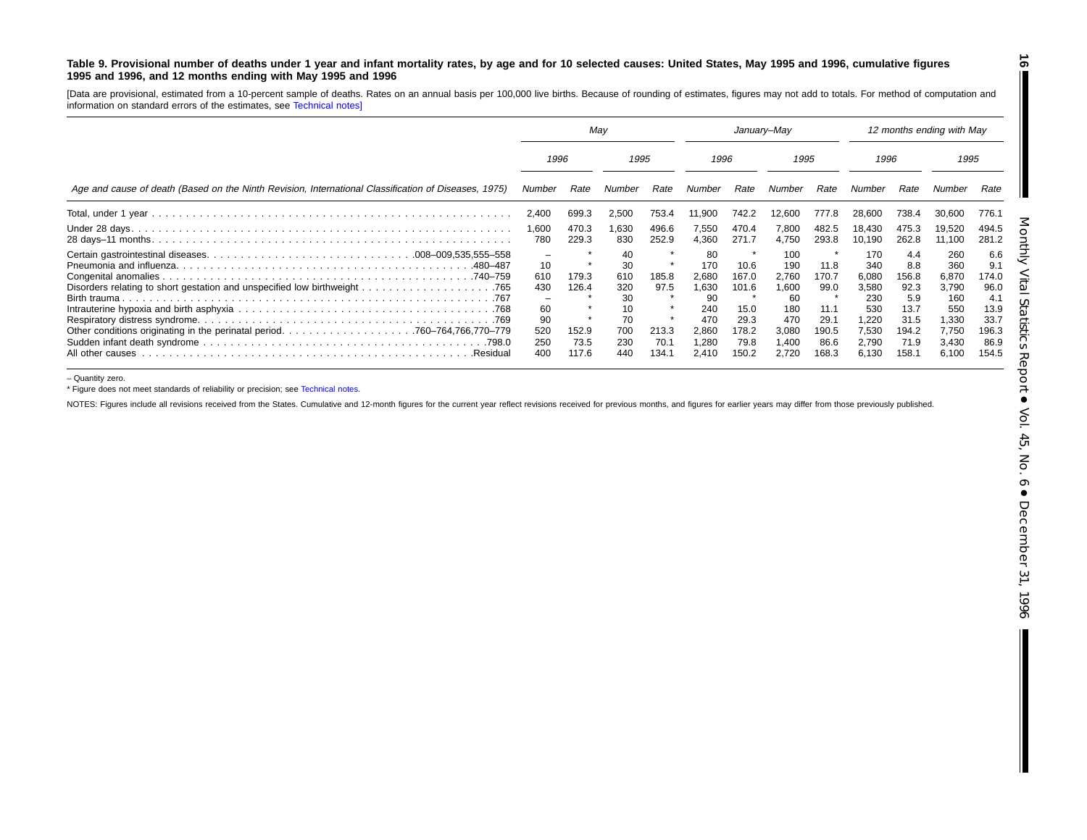#### Table 9. Provisional number of deaths under 1 year and infant mortality rates, by age and for 10 selected causes: United States, May 1995 and 1996, cumulative figures **1995 and 1996, and 12 months ending with May 1995 and 1996**

[Data are provisional, estimated from <sup>a</sup> 10-percent sample of deaths. Rates on an annual basis per 100,000 live births. Because of rounding of estimates, figures may not add to totals. For method of computation and information on standard errors of the estimates, see [Technical](#page-16-1) notes]

|                                                                                                      | Mav                                               |                                          |                                                               | January–May                             |                                                                            |                                                                  |                                                                              | 12 months ending with May                                       |                                                                                                   |                                                                              |                                                                                |                                                                              |
|------------------------------------------------------------------------------------------------------|---------------------------------------------------|------------------------------------------|---------------------------------------------------------------|-----------------------------------------|----------------------------------------------------------------------------|------------------------------------------------------------------|------------------------------------------------------------------------------|-----------------------------------------------------------------|---------------------------------------------------------------------------------------------------|------------------------------------------------------------------------------|--------------------------------------------------------------------------------|------------------------------------------------------------------------------|
|                                                                                                      | 1996                                              |                                          | 1995                                                          |                                         | 1996                                                                       |                                                                  | 1995                                                                         |                                                                 | 1996                                                                                              |                                                                              | 1995                                                                           |                                                                              |
| Age and cause of death (Based on the Ninth Revision, International Classification of Diseases, 1975) | Number                                            | Rate                                     | Number                                                        | Rate                                    | Number                                                                     | Rate                                                             | Number                                                                       | Rate                                                            | Number                                                                                            | Rate                                                                         |                                                                                | Rate                                                                         |
|                                                                                                      | 2.400                                             | 699.3                                    | 2,500                                                         | 753.4                                   | 11,900                                                                     | 742.2                                                            | 12,600                                                                       | 777.8                                                           | 28.600                                                                                            | 738.4                                                                        | 30,600                                                                         | 776.1                                                                        |
|                                                                                                      | 1,600<br>780                                      | 470.3<br>229.3                           | 1,630<br>830                                                  | 496.6<br>252.9                          | 7,550<br>4,360                                                             | 470.4<br>271.7                                                   | 7,800<br>4,750                                                               | 482.5<br>293.8                                                  | 18,430<br>10.190                                                                                  | 475.3<br>262.8                                                               | 19,520<br>11,100                                                               | 494.5<br>281.2                                                               |
| .480–487<br>All other causes<br>.Residual                                                            | 10<br>610<br>430<br>60<br>90<br>520<br>250<br>400 | 179.3<br>126.4<br>152.9<br>73.5<br>117.6 | 40<br>30<br>610<br>320<br>30<br>10<br>70<br>700<br>230<br>440 | 185.8<br>97.5<br>213.3<br>70.7<br>134.1 | 80<br>170<br>2,680<br>1,630<br>90<br>240<br>470<br>2,860<br>1,280<br>2,410 | 10.6<br>167.0<br>101.6<br>15.0<br>29.3<br>178.2<br>79.8<br>150.2 | 100<br>190<br>2.760<br>006. ا<br>60<br>180<br>470<br>3,080<br>1,400<br>2,720 | 11.8<br>170.7<br>99.0<br>11.1<br>29.1<br>190.5<br>86.6<br>168.3 | 170<br>34 <sub>C</sub><br>6,080<br>3,580<br><b>230</b><br>530<br>1,220<br>7,530<br>2,790<br>6,130 | 4.4<br>8.8<br>156.8<br>92.3<br>5.9<br>13.7<br>31.5<br>194.2<br>71.9<br>158.1 | 260<br>360<br>6,870<br>3,790<br>160<br>550<br>1,330<br>7,750<br>3,430<br>6,100 | 6.6<br>9.1<br>174.0<br>96.0<br>4.1<br>13.9<br>33.7<br>196.3<br>86.9<br>154.5 |

– Quantity zero.

\* Figure does not meet standards of reliability or precision; see [Technical](#page-16-1) notes.

NOTES: Figures include all revisions received from the States. Cumulative and 12-month figures for the current year reflect revisions received for previous months, and figures for earlier years may differ from those previo

<span id="page-15-0"></span>**16**  $\blacksquare$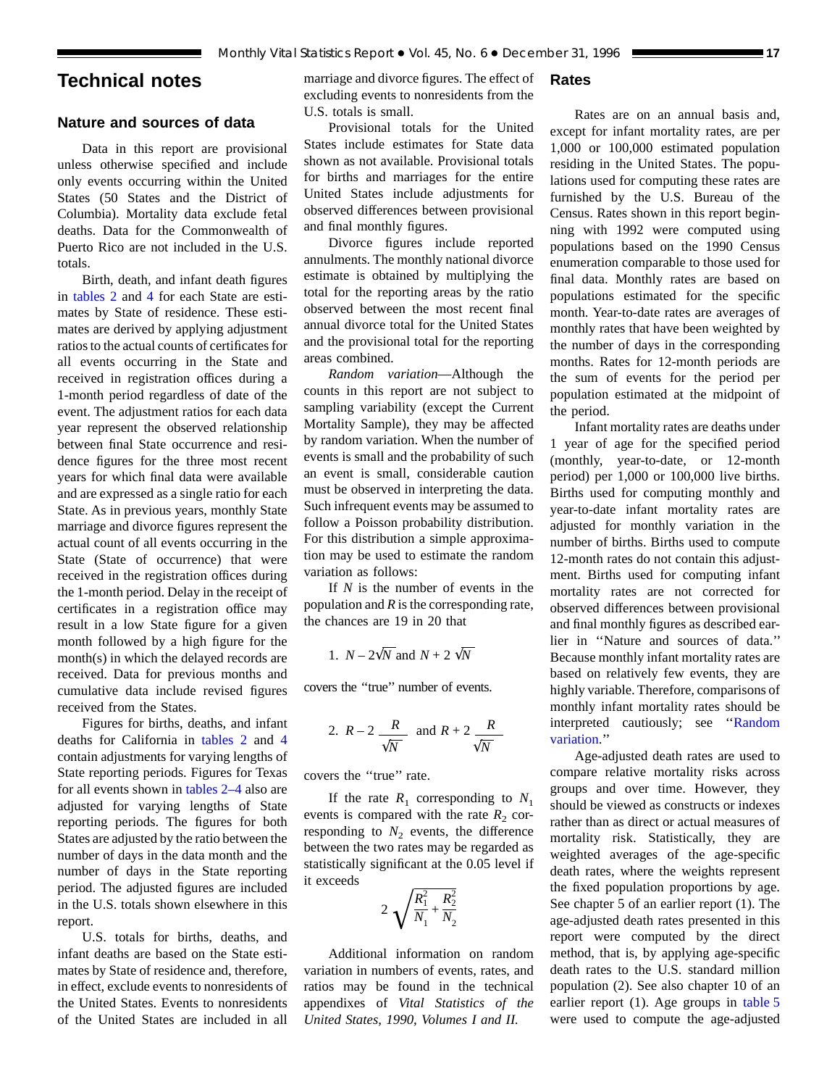## <span id="page-16-0"></span>**Technical notes**

## **Nature and sources of data**

Data in this report are provisional unless otherwise specified and include only events occurring within the United States (50 States and the District of Columbia). Mortality data exclude fetal deaths. Data for the Commonwealth of Puerto Rico are not included in the U.S. totals.

Birth, death, and infant death figures in [tables 2](#page-6-0) and [4](#page-8-0) for each State are estimates by State of residence. These estimates are derived by applying adjustment ratios to the actual counts of certificates for all events occurring in the State and received in registration offices during a 1-month period regardless of date of the event. The adjustment ratios for each data year represent the observed relationship between final State occurrence and residence figures for the three most recent years for which final data were available and are expressed as a single ratio for each State. As in previous years, monthly State marriage and divorce figures represent the actual count of all events occurring in the State (State of occurrence) that were received in the registration offices during the 1-month period. Delay in the receipt of certificates in a registration office may result in a low State figure for a given month followed by a high figure for the month(s) in which the delayed records are received. Data for previous months and cumulative data include revised figures received from the States.

<span id="page-16-1"></span>Figures for births, deaths, and infant deaths for California in [tables 2](#page-6-0) and [4](#page-8-0) contain adjustments for varying lengths of State reporting periods. Figures for Texas for all events shown in [tables 2–4](#page-6-0) also are adjusted for varying lengths of State reporting periods. The figures for both States are adjusted by the ratio between the number of days in the data month and the number of days in the State reporting period. The adjusted figures are included in the U.S. totals shown elsewhere in this report.

U.S. totals for births, deaths, and infant deaths are based on the State estimates by State of residence and, therefore, in effect, exclude events to nonresidents of the United States. Events to nonresidents of the United States are included in all

marriage and divorce figures. The effect of excluding events to nonresidents from the U.S. totals is small.

## Provisional totals for the United States include estimates for State data shown as not available. Provisional totals for births and marriages for the entire United States include adjustments for observed differences between provisional and final monthly figures.

Divorce figures include reported annulments. The monthly national divorce estimate is obtained by multiplying the total for the reporting areas by the ratio observed between the most recent final annual divorce total for the United States and the provisional total for the reporting areas combined.

<span id="page-16-2"></span>*Random variation*—Although the counts in this report are not subject to sampling variability (except the Current Mortality Sample), they may be affected by random variation. When the number of events is small and the probability of such an event is small, considerable caution must be observed in interpreting the data. Such infrequent events may be assumed to follow a Poisson probability distribution. For this distribution a simple approximation may be used to estimate the random variation as follows:

If *N* is the number of events in the population and *R* is the corresponding rate, the chances are 19 in 20 that

1. 
$$
N - 2\sqrt{N}
$$
 and  $N + 2\sqrt{N}$ 

covers the ''true'' number of events.

2. 
$$
R-2
$$
  $\frac{R}{\sqrt{N}}$  and  $R+2$   $\frac{R}{\sqrt{N}}$ 

covers the ''true'' rate.

If the rate  $R_1$  corresponding to  $N_1$ events is compared with the rate  $R_2$  corresponding to  $N_2$  events, the difference between the two rates may be regarded as statistically significant at the 0.05 level if it exceeds

$$
2\sqrt{\frac{R_1^2}{N_1} + \frac{R_2^2}{N_2}}
$$

Additional information on random variation in numbers of events, rates, and ratios may be found in the technical appendixes of *Vital Statistics of the United States, 1990, Volumes I and II.*

#### **Rates**

Rates are on an annual basis and, except for infant mortality rates, are per 1,000 or 100,000 estimated population residing in the United States. The populations used for computing these rates are furnished by the U.S. Bureau of the Census. Rates shown in this report beginning with 1992 were computed using populations based on the 1990 Census enumeration comparable to those used for final data. Monthly rates are based on populations estimated for the specific month. Year-to-date rates are averages of monthly rates that have been weighted by the number of days in the corresponding months. Rates for 12-month periods are the sum of events for the period per population estimated at the midpoint of the period.

Infant mortality rates are deaths under 1 year of age for the specified period (monthly, year-to-date, or 12-month period) per 1,000 or 100,000 live births. Births used for computing monthly and year-to-date infant mortality rates are adjusted for monthly variation in the number of births. Births used to compute 12-month rates do not contain this adjustment. Births used for computing infant mortality rates are not corrected for observed differences between provisional and final monthly figures as described earlier in ''Nature and sources of data.'' Because monthly infant mortality rates are based on relatively few events, they are highly variable. Therefore, comparisons of monthly infant mortality rates should be interpreted cautiously; see [''Random](#page-16-2) [variation.](#page-16-2)''

Age-adjusted death rates are used to compare relative mortality risks across groups and over time. However, they should be viewed as constructs or indexes rather than as direct or actual measures of mortality risk. Statistically, they are weighted averages of the age-specific death rates, where the weights represent the fixed population proportions by age. See chapter 5 of an earlier report (1). The age-adjusted death rates presented in this report were computed by the direct method, that is, by applying age-specific death rates to the U.S. standard million population (2). See also chapter 10 of an earlier report (1). Age groups in [table 5](#page-9-0) were used to compute the age-adjusted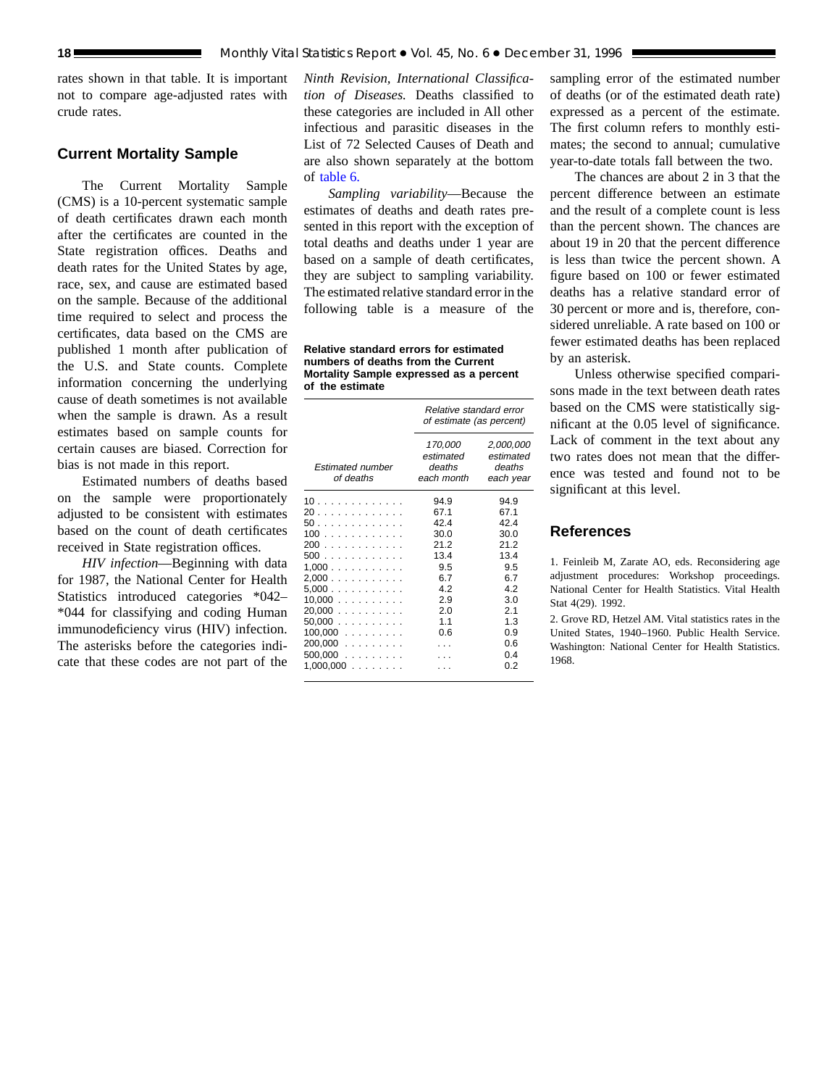rates shown in that table. It is important not to compare age-adjusted rates with crude rates.

### **Current Mortality Sample**

The Current Mortality Sample (CMS) is a 10-percent systematic sample of death certificates drawn each month after the certificates are counted in the State registration offices. Deaths and death rates for the United States by age, race, sex, and cause are estimated based on the sample. Because of the additional time required to select and process the certificates, data based on the CMS are published 1 month after publication of the U.S. and State counts. Complete information concerning the underlying cause of death sometimes is not available when the sample is drawn. As a result estimates based on sample counts for certain causes are biased. Correction for bias is not made in this report.

Estimated numbers of deaths based on the sample were proportionately adjusted to be consistent with estimates based on the count of death certificates received in State registration offices.

*HIV infection*—Beginning with data for 1987, the National Center for Health Statistics introduced categories \*042– \*044 for classifying and coding Human immunodeficiency virus (HIV) infection. The asterisks before the categories indicate that these codes are not part of the

*Ninth Revision, International Classification of Diseases.* Deaths classified to these categories are included in All other infectious and parasitic diseases in the List of 72 Selected Causes of Death and are also shown separately at the bottom of [table 6.](#page-12-0)

*Sampling variability*—Because the estimates of deaths and death rates presented in this report with the exception of total deaths and deaths under 1 year are based on a sample of death certificates, they are subject to sampling variability. The estimated relative standard error in the following table is a measure of the

**Relative standard errors for estimated numbers of deaths from the Current Mortality Sample expressed as a percent of the estimate**

|                                                                                                                         | Relative standard error<br>of estimate (as percent)                                          |                                                                                                    |  |  |  |  |  |  |
|-------------------------------------------------------------------------------------------------------------------------|----------------------------------------------------------------------------------------------|----------------------------------------------------------------------------------------------------|--|--|--|--|--|--|
| <b>Estimated number</b><br>of deaths                                                                                    | 170,000<br>estimated<br>deaths<br>each month                                                 | 2,000,000<br>estimated<br>deaths<br>each year                                                      |  |  |  |  |  |  |
| 10<br>20<br>50.<br>100<br>200<br>500<br>1.000<br>2,000<br>5,000<br>10,000<br>20,000<br>50.000<br>$100,000$<br>$200,000$ | 94.9<br>67.1<br>42.4<br>30.0<br>21.2<br>13.4<br>9.5<br>6.7<br>4.2<br>2.9<br>2.0<br>11<br>0.6 | 94.9<br>67.1<br>424<br>30.0<br>212<br>13.4<br>9.5<br>6.7<br>4.2<br>3.0<br>2.1<br>1.3<br>0.9<br>0.6 |  |  |  |  |  |  |
| $500,000$<br>1,000,000<br>.                                                                                             |                                                                                              | 04<br>0.2                                                                                          |  |  |  |  |  |  |

sampling error of the estimated number of deaths (or of the estimated death rate) expressed as a percent of the estimate. The first column refers to monthly estimates; the second to annual; cumulative year-to-date totals fall between the two.

The chances are about 2 in 3 that the percent difference between an estimate and the result of a complete count is less than the percent shown. The chances are about 19 in 20 that the percent difference is less than twice the percent shown. A figure based on 100 or fewer estimated deaths has a relative standard error of 30 percent or more and is, therefore, considered unreliable. A rate based on 100 or fewer estimated deaths has been replaced by an asterisk.

Unless otherwise specified comparisons made in the text between death rates based on the CMS were statistically significant at the 0.05 level of significance. Lack of comment in the text about any two rates does not mean that the difference was tested and found not to be significant at this level.

## **References**

1. Feinleib M, Zarate AO, eds. Reconsidering age adjustment procedures: Workshop proceedings. National Center for Health Statistics. Vital Health Stat 4(29). 1992.

2. Grove RD, Hetzel AM. Vital statistics rates in the United States, 1940–1960. Public Health Service. Washington: National Center for Health Statistics. 1968.